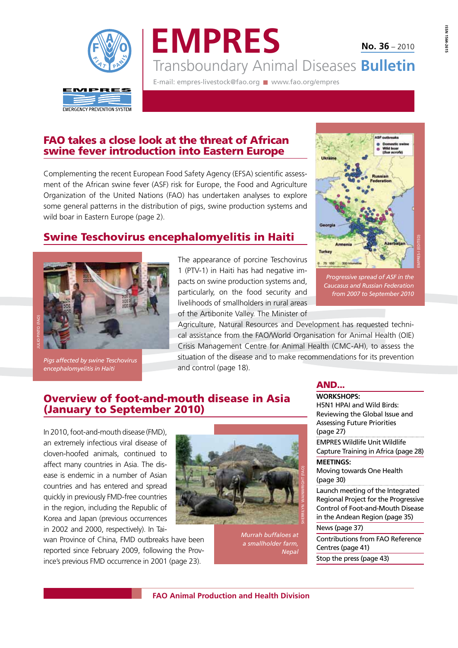

**EMPRES** Transboundary Animal Diseases **Bulletin No. 36** – 2010

E-mail: empres-livestock@fao.org www.fao.org/empres

# **FAO takes a close look at the threat of African swine fever introduction into Eastern Europe**

Complementing the recent European Food Safety Agency (EFSA) scientific assessment of the African swine fever (ASF) risk for Europe, the Food and Agriculture Organization of the United Nations (FAO) has undertaken analyses to explore some general patterns in the distribution of pigs, swine production systems and wild boar in Eastern Europe (page 2).

# **Swine Teschovirus encephalomyelitis in Haiti**



*Pigs affected by swine Teschovirus encephalomyelitis in Haiti*

The appearance of porcine Teschovirus 1 (PTV-1) in Haiti has had negative impacts on swine production systems and, particularly, on the food security and livelihoods of smallholders in rural areas of the Artibonite Valley. The Minister of

 *Progressive spread of ASF in the Caucasus and Russian Federation from 2007 to September 2010*

Agriculture, Natural Resources and Development has requested technical assistance from the FAO/World Organisation for Animal Health (OIE) Crisis Management Centre for Animal Health (CMC-AH), to assess the situation of the disease and to make recommendations for its prevention and control (page 18).

# **Overview of foot-and-mouth disease in Asia (January to September 2010)**

In 2010, foot-and-mouth disease (FMD), an extremely infectious viral disease of cloven-hoofed animals, continued to affect many countries in Asia. The disease is endemic in a number of Asian countries and has entered and spread quickly in previously FMD-free countries in the region, including the Republic of Korea and Japan (previous occurrences in 2002 and 2000, respectively). In Tai-

wan Province of China, FMD outbreaks have been reported since February 2009, following the Province's previous FMD occurrence in 2001 (page 23).



*Murrah buffaloes at a smallholder farm, Nepal*

## **AND...**

**WORKSHOPS:** H5N1 HPAI and Wild Birds: Reviewing the Global Issue and Assessing Future Priorities (page 27) EMPRES Wildlife Unit Wildlife Capture Training in Africa (page 28) **MEETINGS:** Moving towards One Health (page 30) Launch meeting of the Integrated Regional Project for the Progressive Control of Foot-and-Mouth Disease in the Andean Region (page 35) News (page 37) Contributions from FAO Reference Centres (page 41) Stop the press (page 43)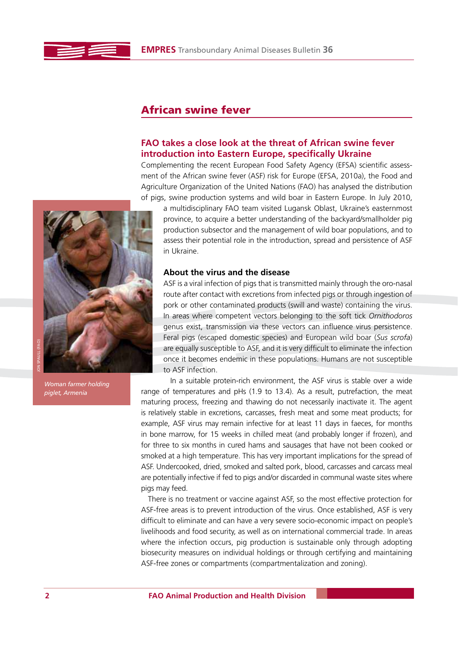

# **African swine fever**

## **FAO takes a close look at the threat of African swine fever introduction into Eastern Europe, specifically Ukraine**

Complementing the recent European Food Safety Agency (EFSA) scientific assessment of the African swine fever (ASF) risk for Europe (EFSA, 2010a), the Food and Agriculture Organization of the United Nations (FAO) has analysed the distribution of pigs, swine production systems and wild boar in Eastern Europe. In July 2010,

a multidisciplinary FAO team visited Lugansk Oblast, Ukraine's easternmost province, to acquire a better understanding of the backyard/smallholder pig production subsector and the management of wild boar populations, and to assess their potential role in the introduction, spread and persistence of ASF in Ukraine.

## **About the virus and the disease**

ASF is a viral infection of pigs that is transmitted mainly through the oro-nasal route after contact with excretions from infected pigs or through ingestion of pork or other contaminated products (swill and waste) containing the virus. In areas where competent vectors belonging to the soft tick *Ornithodoros* genus exist, transmission via these vectors can influence virus persistence. Feral pigs (escaped domestic species) and European wild boar (*Sus scrofa*) are equally susceptible to ASF, and it is very difficult to eliminate the infection once it becomes endemic in these populations. Humans are not susceptible to ASF infection.

In a suitable protein-rich environment, the ASF virus is stable over a wide range of temperatures and pHs (1.9 to 13.4). As a result, putrefaction, the meat maturing process, freezing and thawing do not necessarily inactivate it. The agent is relatively stable in excretions, carcasses, fresh meat and some meat products; for example, ASF virus may remain infective for at least 11 days in faeces, for months in bone marrow, for 15 weeks in chilled meat (and probably longer if frozen), and for three to six months in cured hams and sausages that have not been cooked or smoked at a high temperature. This has very important implications for the spread of ASF. Undercooked, dried, smoked and salted pork, blood, carcasses and carcass meal are potentially infective if fed to pigs and/or discarded in communal waste sites where pigs may feed.

There is no treatment or vaccine against ASF, so the most effective protection for ASF-free areas is to prevent introduction of the virus. Once established, ASF is very difficult to eliminate and can have a very severe socio-economic impact on people's livelihoods and food security, as well as on international commercial trade. In areas where the infection occurs, pig production is sustainable only through adopting biosecurity measures on individual holdings or through certifying and maintaining ASF-free zones or compartments (compartmentalization and zoning).



*Woman farmer holding piglet, Armenia*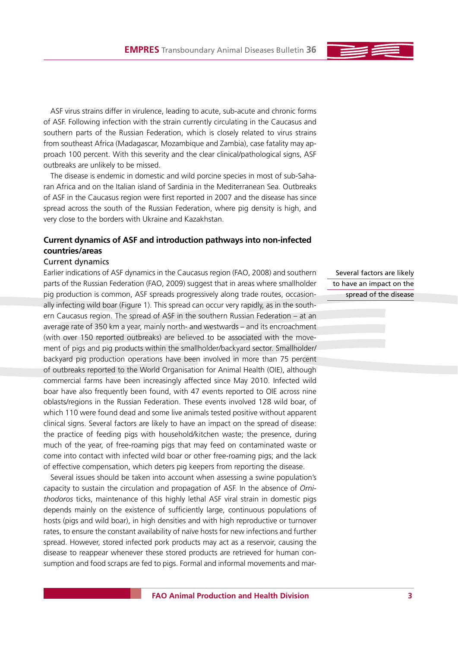ASF virus strains differ in virulence, leading to acute, sub-acute and chronic forms of ASF. Following infection with the strain currently circulating in the Caucasus and southern parts of the Russian Federation, which is closely related to virus strains from southeast Africa (Madagascar, Mozambique and Zambia), case fatality may approach 100 percent. With this severity and the clear clinical/pathological signs, ASF outbreaks are unlikely to be missed.

The disease is endemic in domestic and wild porcine species in most of sub-Saharan Africa and on the Italian island of Sardinia in the Mediterranean Sea. Outbreaks of ASF in the Caucasus region were first reported in 2007 and the disease has since spread across the south of the Russian Federation, where pig density is high, and very close to the borders with Ukraine and Kazakhstan.

## **Current dynamics of ASF and introduction pathways into non-infected countries/areas**

### Current dynamics

Earlier indications of ASF dynamics in the Caucasus region (FAO, 2008) and southern parts of the Russian Federation (FAO, 2009) suggest that in areas where smallholder pig production is common, ASF spreads progressively along trade routes, occasionally infecting wild boar (Figure 1). This spread can occur very rapidly, as in the southern Caucasus region. The spread of ASF in the southern Russian Federation – at an average rate of 350 km a year, mainly north- and westwards – and its encroachment (with over 150 reported outbreaks) are believed to be associated with the movement of pigs and pig products within the smallholder/backyard sector. Smallholder/ backyard pig production operations have been involved in more than 75 percent of outbreaks reported to the World Organisation for Animal Health (OIE), although commercial farms have been increasingly affected since May 2010. Infected wild boar have also frequently been found, with 47 events reported to OIE across nine oblasts/regions in the Russian Federation. These events involved 128 wild boar, of which 110 were found dead and some live animals tested positive without apparent clinical signs. Several factors are likely to have an impact on the spread of disease: the practice of feeding pigs with household/kitchen waste; the presence, during much of the year, of free-roaming pigs that may feed on contaminated waste or come into contact with infected wild boar or other free-roaming pigs; and the lack of effective compensation, which deters pig keepers from reporting the disease.

Several issues should be taken into account when assessing a swine population's capacity to sustain the circulation and propagation of ASF. In the absence of *Ornithodoros* ticks, maintenance of this highly lethal ASF viral strain in domestic pigs depends mainly on the existence of sufficiently large, continuous populations of hosts (pigs and wild boar), in high densities and with high reproductive or turnover rates, to ensure the constant availability of naïve hosts for new infections and further spread. However, stored infected pork products may act as a reservoir, causing the disease to reappear whenever these stored products are retrieved for human consumption and food scraps are fed to pigs. Formal and informal movements and mar-

Several factors are likely to have an impact on the spread of the disease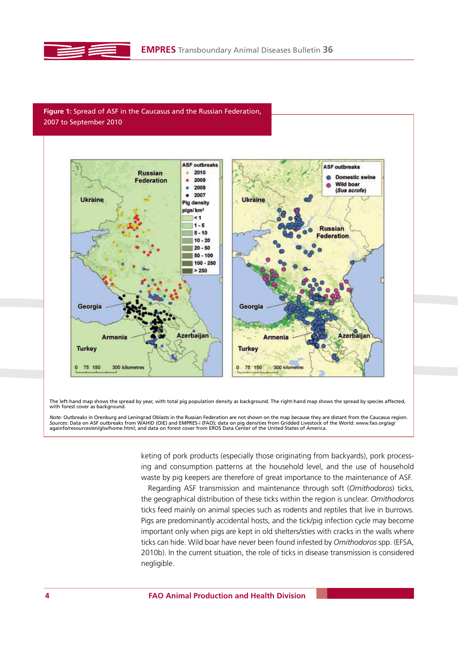

## **Figure 1:** Spread of ASF in the Caucasus and the Russian Federation, 2007 to September 2010



The left-hand map shows the spread by year, with total pig population density as background. The right-hand map shows the spread by species affected, with forest cover as background.

Note: Outbreaks in Orenburg and Leningrad Oblasts in the Russian Federation are not shown on the map because they are distant from the Caucasus region.<br>Sources: Data on ASF outbreaks from WAHID (OIE) and EMPRES-i (FAO); da

keting of pork products (especially those originating from backyards), pork processing and consumption patterns at the household level, and the use of household waste by pig keepers are therefore of great importance to the maintenance of ASF.

Regarding ASF transmission and maintenance through soft (*Ornithodoros*) ticks, the geographical distribution of these ticks within the region is unclear. *Ornithodoros* ticks feed mainly on animal species such as rodents and reptiles that live in burrows. Pigs are predominantly accidental hosts, and the tick/pig infection cycle may become important only when pigs are kept in old shelters/sties with cracks in the walls where ticks can hide. Wild boar have never been found infested by *Ornithodoros* spp. (EFSA, 2010b). In the current situation, the role of ticks in disease transmission is considered negligible.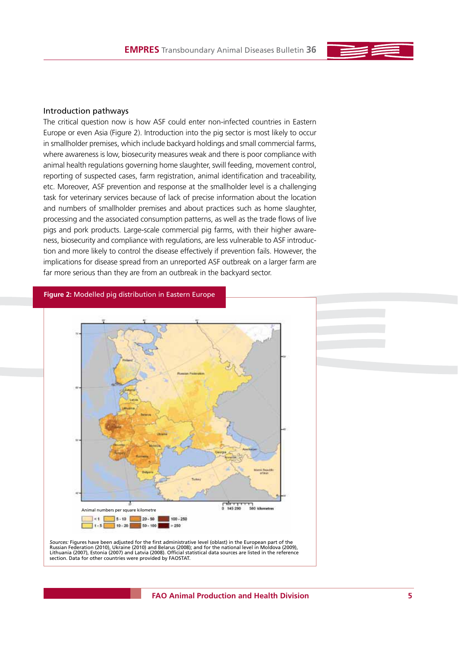### Introduction pathways

The critical question now is how ASF could enter non-infected countries in Eastern Europe or even Asia (Figure 2). Introduction into the pig sector is most likely to occur in smallholder premises, which include backyard holdings and small commercial farms, where awareness is low, biosecurity measures weak and there is poor compliance with animal health regulations governing home slaughter, swill feeding, movement control, reporting of suspected cases, farm registration, animal identification and traceability, etc. Moreover, ASF prevention and response at the smallholder level is a challenging task for veterinary services because of lack of precise information about the location and numbers of smallholder premises and about practices such as home slaughter, processing and the associated consumption patterns, as well as the trade flows of live pigs and pork products. Large-scale commercial pig farms, with their higher awareness, biosecurity and compliance with regulations, are less vulnerable to ASF introduction and more likely to control the disease effectively if prevention fails. However, the implications for disease spread from an unreported ASF outbreak on a larger farm are far more serious than they are from an outbreak in the backyard sector.

**Figure 2:** Modelled pig distribution in Eastern Europe



*Sources:* Figures have been adjusted for the first administrative level (oblast) in the European part of the Russian Federation (2010), Ukraine (2010) and Belarus (2008); and for the national level in Moldova (2009), Lithuania (2007), Estonia (2007) and Latvia (2008). Official statistical data sources are listed in the reference section. Data for other countries were provided by FAOSTAT.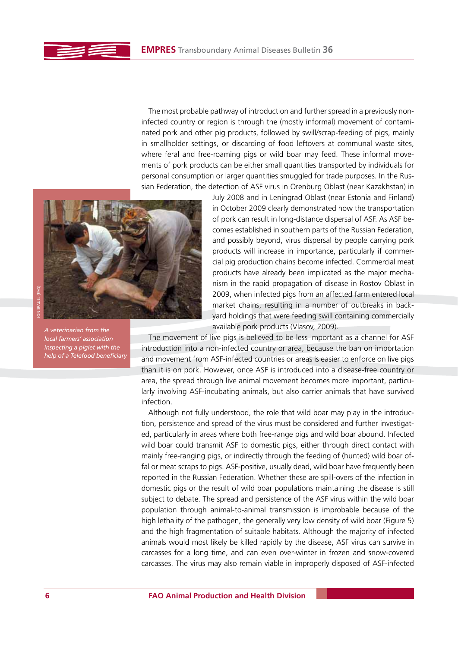The most probable pathway of introduction and further spread in a previously noninfected country or region is through the (mostly informal) movement of contaminated pork and other pig products, followed by swill/scrap-feeding of pigs, mainly in smallholder settings, or discarding of food leftovers at communal waste sites, where feral and free-roaming pigs or wild boar may feed. These informal movements of pork products can be either small quantities transported by individuals for personal consumption or larger quantities smuggled for trade purposes. In the Russian Federation, the detection of ASF virus in Orenburg Oblast (near Kazakhstan) in



JON SPAULL (FAO)

*A veterinarian from the local farmers' association inspecting a piglet with the help of a Telefood beneficiary* July 2008 and in Leningrad Oblast (near Estonia and Finland) in October 2009 clearly demonstrated how the transportation of pork can result in long-distance dispersal of ASF. As ASF becomes established in southern parts of the Russian Federation, and possibly beyond, virus dispersal by people carrying pork products will increase in importance, particularly if commercial pig production chains become infected. Commercial meat products have already been implicated as the major mechanism in the rapid propagation of disease in Rostov Oblast in 2009, when infected pigs from an affected farm entered local market chains, resulting in a number of outbreaks in backyard holdings that were feeding swill containing commercially available pork products (Vlasov, 2009).

The movement of live pigs is believed to be less important as a channel for ASF introduction into a non-infected country or area, because the ban on importation and movement from ASF-infected countries or areas is easier to enforce on live pigs than it is on pork. However, once ASF is introduced into a disease-free country or area, the spread through live animal movement becomes more important, particularly involving ASF-incubating animals, but also carrier animals that have survived infection.

Although not fully understood, the role that wild boar may play in the introduction, persistence and spread of the virus must be considered and further investigated, particularly in areas where both free-range pigs and wild boar abound. Infected wild boar could transmit ASF to domestic pigs, either through direct contact with mainly free-ranging pigs, or indirectly through the feeding of (hunted) wild boar offal or meat scraps to pigs. ASF-positive, usually dead, wild boar have frequently been reported in the Russian Federation. Whether these are spill-overs of the infection in domestic pigs or the result of wild boar populations maintaining the disease is still subject to debate. The spread and persistence of the ASF virus within the wild boar population through animal-to-animal transmission is improbable because of the high lethality of the pathogen, the generally very low density of wild boar (Figure 5) and the high fragmentation of suitable habitats. Although the majority of infected animals would most likely be killed rapidly by the disease, ASF virus can survive in carcasses for a long time, and can even over-winter in frozen and snow-covered carcasses. The virus may also remain viable in improperly disposed of ASF-infected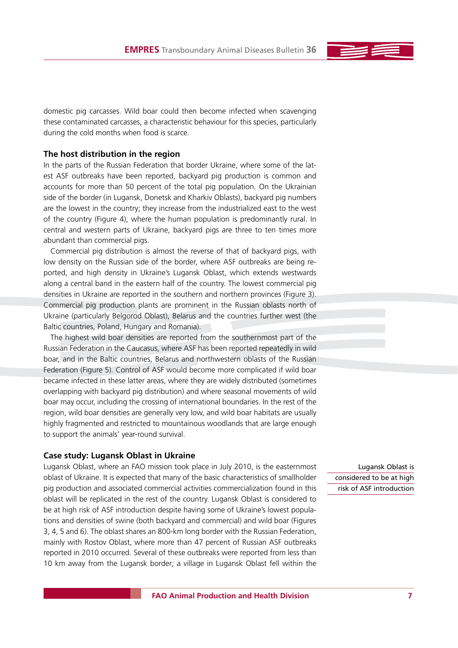domestic pig carcasses. Wild boar could then become infected when scavenging these contaminated carcasses, a characteristic behaviour for this species, particularly during the cold months when food is scarce.

### **The host distribution in the region**

In the parts of the Russian Federation that border Ukraine, where some of the latest ASF outbreaks have been reported, backyard pig production is common and accounts for more than 50 percent of the total pig population. On the Ukrainian side of the border (in Lugansk, Donetsk and Kharkiv Oblasts), backyard pig numbers are the lowest in the country; they increase from the industrialized east to the west of the country (Figure 4), where the human population is predominantly rural. In central and western parts of Ukraine, backyard pigs are three to ten times more abundant than commercial pigs.

Commercial pig distribution is almost the reverse of that of backyard pigs, with low density on the Russian side of the border, where ASF outbreaks are being reported, and high density in Ukraine's Lugansk Oblast, which extends westwards along a central band in the eastern half of the country. The lowest commercial pig densities in Ukraine are reported in the southern and northern provinces (Figure 3). Commercial pig production plants are prominent in the Russian oblasts north of Ukraine (particularly Belgorod Oblast), Belarus and the countries further west (the Baltic countries, Poland, Hungary and Romania).

The highest wild boar densities are reported from the southernmost part of the Russian Federation in the Caucasus, where ASF has been reported repeatedly in wild boar, and in the Baltic countries, Belarus and northwestern oblasts of the Russian Federation (Figure 5). Control of ASF would become more complicated if wild boar became infected in these latter areas, where they are widely distributed (sometimes overlapping with backyard pig distribution) and where seasonal movements of wild boar may occur, including the crossing of international boundaries. In the rest of the region, wild boar densities are generally very low, and wild boar habitats are usually highly fragmented and restricted to mountainous woodlands that are large enough to support the animals' year-round survival.

### **Case study: Lugansk Oblast in Ukraine**

Lugansk Oblast, where an FAO mission took place in July 2010, is the easternmost oblast of Ukraine. It is expected that many of the basic characteristics of smallholder pig production and associated commercial activities commercialization found in this oblast will be replicated in the rest of the country. Lugansk Oblast is considered to be at high risk of ASF introduction despite having some of Ukraine's lowest populations and densities of swine (both backyard and commercial) and wild boar (Figures 3, 4, 5 and 6). The oblast shares an 800-km long border with the Russian Federation, mainly with Rostov Oblast, where more than 47 percent of Russian ASF outbreaks reported in 2010 occurred. Several of these outbreaks were reported from less than 10 km away from the Lugansk border; a village in Lugansk Oblast fell within the

Lugansk Oblast is considered to be at high risk of ASF introduction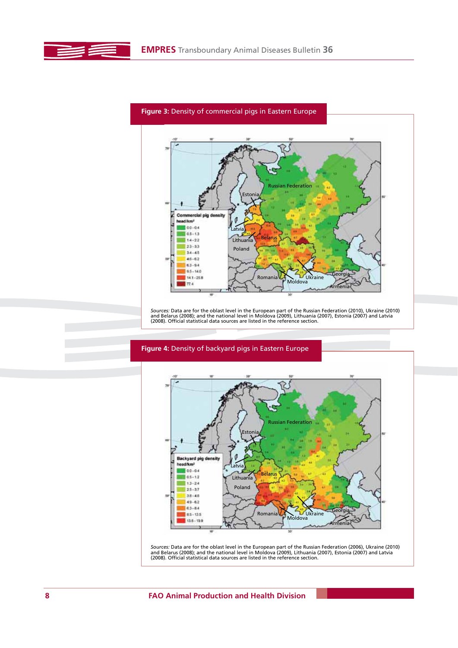E



*Sources:* Data are for the oblast level in the European part of the Russian Federation (2010), Ukraine (2010)<br>and Belarus (2008); and the national level in Moldova (2009), Lithuania (2007), Estonia (2007) and Latvia<br>(2008



*Sources:* Data are for the oblast level in the European part of the Russian Federation (2006), Ukraine (2010)<br>and Belarus (2008); and the national level in Moldova (2009), Lithuania (2007), Estonia (2007) and Latvia<br>(2008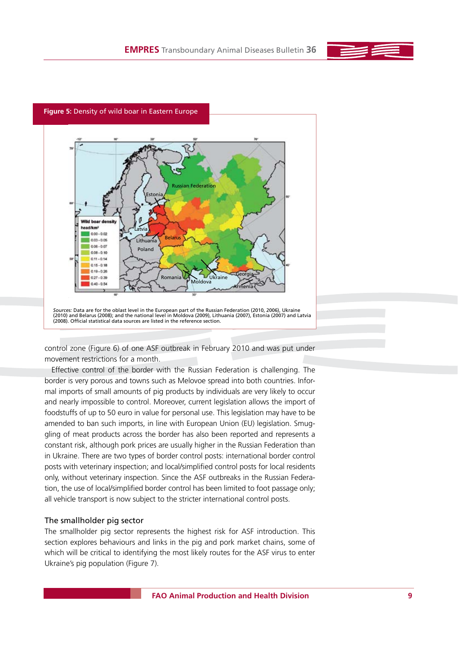



control zone (Figure 6) of one ASF outbreak in February 2010 and was put under movement restrictions for a month.

Effective control of the border with the Russian Federation is challenging. The border is very porous and towns such as Melovoe spread into both countries. Informal imports of small amounts of pig products by individuals are very likely to occur and nearly impossible to control. Moreover, current legislation allows the import of foodstuffs of up to 50 euro in value for personal use. This legislation may have to be amended to ban such imports, in line with European Union (EU) legislation. Smuggling of meat products across the border has also been reported and represents a constant risk, although pork prices are usually higher in the Russian Federation than in Ukraine. There are two types of border control posts: international border control posts with veterinary inspection; and local/simplified control posts for local residents only, without veterinary inspection. Since the ASF outbreaks in the Russian Federation, the use of local/simplified border control has been limited to foot passage only; all vehicle transport is now subject to the stricter international control posts.

### The smallholder pig sector

The smallholder pig sector represents the highest risk for ASF introduction. This section explores behaviours and links in the pig and pork market chains, some of which will be critical to identifying the most likely routes for the ASF virus to enter Ukraine's pig population (Figure 7).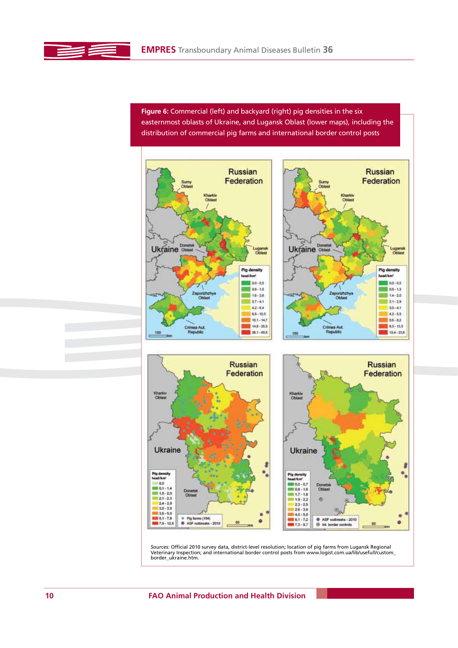**Figure 6:** Commercial (left) and backyard (right) pig densities in the six easternmost oblasts of Ukraine, and Lugansk Oblast (lower maps), including the distribution of commercial pig farms and international border control posts



*Sources:* Official 2010 survey data, district-level resolution; location of pig farms from Lugansk Regional Veterinary Inspection; and international border control posts from www.logist.com.ua/lib/usefull/custom\_ border\_ukraine.htm.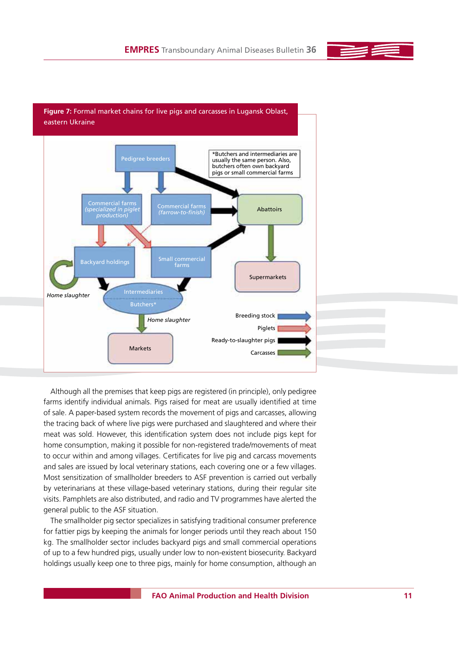





Although all the premises that keep pigs are registered (in principle), only pedigree farms identify individual animals. Pigs raised for meat are usually identified at time of sale. A paper-based system records the movement of pigs and carcasses, allowing the tracing back of where live pigs were purchased and slaughtered and where their meat was sold. However, this identification system does not include pigs kept for home consumption, making it possible for non-registered trade/movements of meat to occur within and among villages. Certificates for live pig and carcass movements and sales are issued by local veterinary stations, each covering one or a few villages. Most sensitization of smallholder breeders to ASF prevention is carried out verbally by veterinarians at these village-based veterinary stations, during their regular site visits. Pamphlets are also distributed, and radio and TV programmes have alerted the general public to the ASF situation.

The smallholder pig sector specializes in satisfying traditional consumer preference for fattier pigs by keeping the animals for longer periods until they reach about 150 kg. The smallholder sector includes backyard pigs and small commercial operations of up to a few hundred pigs, usually under low to non-existent biosecurity. Backyard holdings usually keep one to three pigs, mainly for home consumption, although an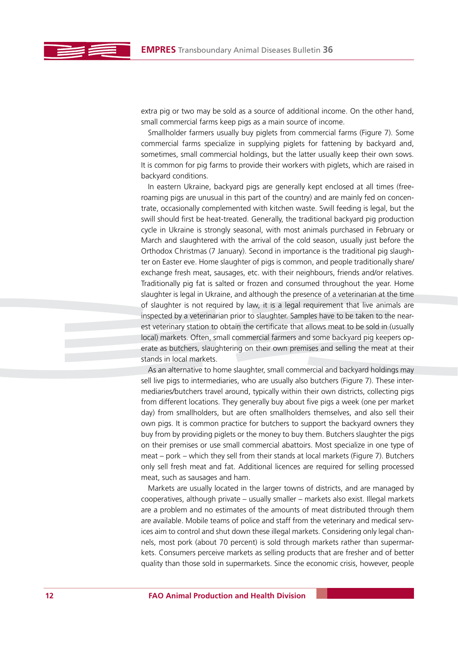extra pig or two may be sold as a source of additional income. On the other hand, small commercial farms keep pigs as a main source of income.

Smallholder farmers usually buy piglets from commercial farms (Figure 7). Some commercial farms specialize in supplying piglets for fattening by backyard and, sometimes, small commercial holdings, but the latter usually keep their own sows. It is common for pig farms to provide their workers with piglets, which are raised in backyard conditions.

In eastern Ukraine, backyard pigs are generally kept enclosed at all times (freeroaming pigs are unusual in this part of the country) and are mainly fed on concentrate, occasionally complemented with kitchen waste. Swill feeding is legal, but the swill should first be heat-treated. Generally, the traditional backyard pig production cycle in Ukraine is strongly seasonal, with most animals purchased in February or March and slaughtered with the arrival of the cold season, usually just before the Orthodox Christmas (7 January). Second in importance is the traditional pig slaughter on Easter eve. Home slaughter of pigs is common, and people traditionally share/ exchange fresh meat, sausages, etc. with their neighbours, friends and/or relatives. Traditionally pig fat is salted or frozen and consumed throughout the year. Home slaughter is legal in Ukraine, and although the presence of a veterinarian at the time of slaughter is not required by law, it is a legal requirement that live animals are inspected by a veterinarian prior to slaughter. Samples have to be taken to the nearest veterinary station to obtain the certificate that allows meat to be sold in (usually local) markets. Often, small commercial farmers and some backyard pig keepers operate as butchers, slaughtering on their own premises and selling the meat at their stands in local markets.

As an alternative to home slaughter, small commercial and backyard holdings may sell live pigs to intermediaries, who are usually also butchers (Figure 7). These intermediaries/butchers travel around, typically within their own districts, collecting pigs from different locations. They generally buy about five pigs a week (one per market day) from smallholders, but are often smallholders themselves, and also sell their own pigs. It is common practice for butchers to support the backyard owners they buy from by providing piglets or the money to buy them. Butchers slaughter the pigs on their premises or use small commercial abattoirs. Most specialize in one type of meat – pork – which they sell from their stands at local markets (Figure 7). Butchers only sell fresh meat and fat. Additional licences are required for selling processed meat, such as sausages and ham.

Markets are usually located in the larger towns of districts, and are managed by cooperatives, although private – usually smaller – markets also exist. Illegal markets are a problem and no estimates of the amounts of meat distributed through them are available. Mobile teams of police and staff from the veterinary and medical services aim to control and shut down these illegal markets. Considering only legal channels, most pork (about 70 percent) is sold through markets rather than supermarkets. Consumers perceive markets as selling products that are fresher and of better quality than those sold in supermarkets. Since the economic crisis, however, people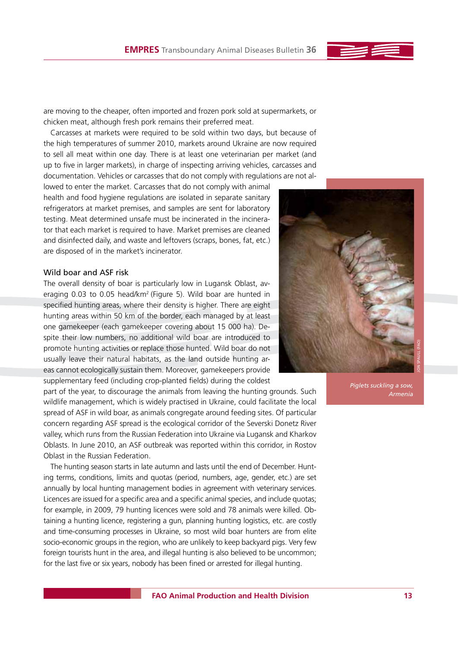are moving to the cheaper, often imported and frozen pork sold at supermarkets, or chicken meat, although fresh pork remains their preferred meat.

Carcasses at markets were required to be sold within two days, but because of the high temperatures of summer 2010, markets around Ukraine are now required to sell all meat within one day. There is at least one veterinarian per market (and up to five in larger markets), in charge of inspecting arriving vehicles, carcasses and documentation. Vehicles or carcasses that do not comply with regulations are not al-

lowed to enter the market. Carcasses that do not comply with animal health and food hygiene regulations are isolated in separate sanitary refrigerators at market premises, and samples are sent for laboratory testing. Meat determined unsafe must be incinerated in the incinerator that each market is required to have. Market premises are cleaned and disinfected daily, and waste and leftovers (scraps, bones, fat, etc.) are disposed of in the market's incinerator.

### Wild boar and ASF risk

The overall density of boar is particularly low in Lugansk Oblast, averaging 0.03 to 0.05 head/km2 (Figure 5). Wild boar are hunted in specified hunting areas, where their density is higher. There are eight hunting areas within 50 km of the border, each managed by at least one gamekeeper (each gamekeeper covering about 15 000 ha). Despite their low numbers, no additional wild boar are introduced to promote hunting activities or replace those hunted. Wild boar do not usually leave their natural habitats, as the land outside hunting areas cannot ecologically sustain them. Moreover, gamekeepers provide supplementary feed (including crop-planted fields) during the coldest

part of the year, to discourage the animals from leaving the hunting grounds. Such wildlife management, which is widely practised in Ukraine, could facilitate the local spread of ASF in wild boar, as animals congregate around feeding sites. Of particular concern regarding ASF spread is the ecological corridor of the Severski Donetz River valley, which runs from the Russian Federation into Ukraine via Lugansk and Kharkov Oblasts. In June 2010, an ASF outbreak was reported within this corridor, in Rostov Oblast in the Russian Federation.

The hunting season starts in late autumn and lasts until the end of December. Hunting terms, conditions, limits and quotas (period, numbers, age, gender, etc.) are set annually by local hunting management bodies in agreement with veterinary services. Licences are issued for a specific area and a specific animal species, and include quotas; for example, in 2009, 79 hunting licences were sold and 78 animals were killed. Obtaining a hunting licence, registering a gun, planning hunting logistics, etc. are costly and time-consuming processes in Ukraine, so most wild boar hunters are from elite socio-economic groups in the region, who are unlikely to keep backyard pigs. Very few foreign tourists hunt in the area, and illegal hunting is also believed to be uncommon; for the last five or six years, nobody has been fined or arrested for illegal hunting.



*Piglets suckling a sow, Armenia*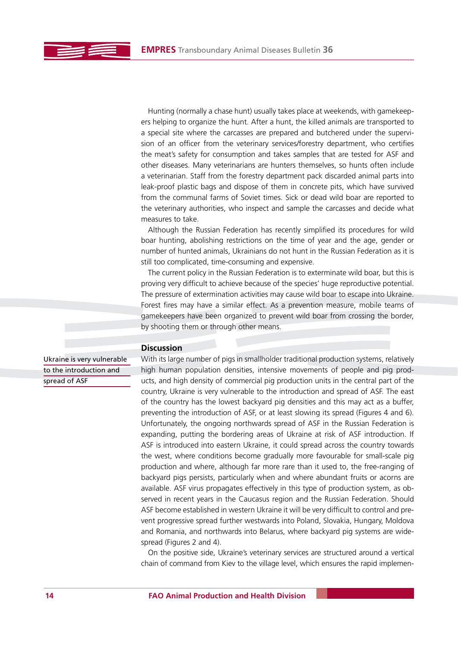Hunting (normally a chase hunt) usually takes place at weekends, with gamekeepers helping to organize the hunt. After a hunt, the killed animals are transported to a special site where the carcasses are prepared and butchered under the supervision of an officer from the veterinary services/forestry department, who certifies the meat's safety for consumption and takes samples that are tested for ASF and other diseases. Many veterinarians are hunters themselves, so hunts often include a veterinarian. Staff from the forestry department pack discarded animal parts into leak-proof plastic bags and dispose of them in concrete pits, which have survived from the communal farms of Soviet times. Sick or dead wild boar are reported to the veterinary authorities, who inspect and sample the carcasses and decide what measures to take.

Although the Russian Federation has recently simplified its procedures for wild boar hunting, abolishing restrictions on the time of year and the age, gender or number of hunted animals, Ukrainians do not hunt in the Russian Federation as it is still too complicated, time-consuming and expensive.

The current policy in the Russian Federation is to exterminate wild boar, but this is proving very difficult to achieve because of the species' huge reproductive potential. The pressure of extermination activities may cause wild boar to escape into Ukraine. Forest fires may have a similar effect. As a prevention measure, mobile teams of gamekeepers have been organized to prevent wild boar from crossing the border, by shooting them or through other means.

## **Discussion**

Ukraine is very vulnerable to the introduction and spread of ASF

With its large number of pigs in smallholder traditional production systems, relatively high human population densities, intensive movements of people and pig products, and high density of commercial pig production units in the central part of the country, Ukraine is very vulnerable to the introduction and spread of ASF. The east of the country has the lowest backyard pig densities and this may act as a buffer, preventing the introduction of ASF, or at least slowing its spread (Figures 4 and 6). Unfortunately, the ongoing northwards spread of ASF in the Russian Federation is expanding, putting the bordering areas of Ukraine at risk of ASF introduction. If ASF is introduced into eastern Ukraine, it could spread across the country towards the west, where conditions become gradually more favourable for small-scale pig production and where, although far more rare than it used to, the free-ranging of backyard pigs persists, particularly when and where abundant fruits or acorns are available. ASF virus propagates effectively in this type of production system, as observed in recent years in the Caucasus region and the Russian Federation. Should ASF become established in western Ukraine it will be very difficult to control and prevent progressive spread further westwards into Poland, Slovakia, Hungary, Moldova and Romania, and northwards into Belarus, where backyard pig systems are widespread (Figures 2 and 4).

On the positive side, Ukraine's veterinary services are structured around a vertical chain of command from Kiev to the village level, which ensures the rapid implemen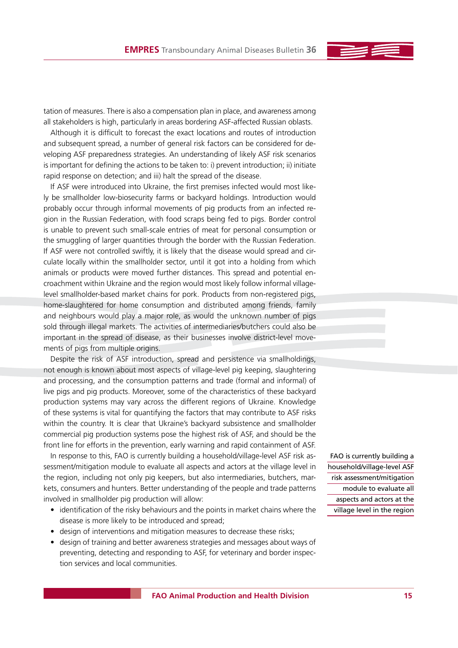tation of measures. There is also a compensation plan in place, and awareness among all stakeholders is high, particularly in areas bordering ASF-affected Russian oblasts.

Although it is difficult to forecast the exact locations and routes of introduction and subsequent spread, a number of general risk factors can be considered for developing ASF preparedness strategies. An understanding of likely ASF risk scenarios is important for defining the actions to be taken to: i) prevent introduction; ii) initiate rapid response on detection; and iii) halt the spread of the disease.

If ASF were introduced into Ukraine, the first premises infected would most likely be smallholder low-biosecurity farms or backyard holdings. Introduction would probably occur through informal movements of pig products from an infected region in the Russian Federation, with food scraps being fed to pigs. Border control is unable to prevent such small-scale entries of meat for personal consumption or the smuggling of larger quantities through the border with the Russian Federation. If ASF were not controlled swiftly, it is likely that the disease would spread and circulate locally within the smallholder sector, until it got into a holding from which animals or products were moved further distances. This spread and potential encroachment within Ukraine and the region would most likely follow informal villagelevel smallholder-based market chains for pork. Products from non-registered pigs, home-slaughtered for home consumption and distributed among friends, family and neighbours would play a major role, as would the unknown number of pigs sold through illegal markets. The activities of intermediaries/butchers could also be important in the spread of disease, as their businesses involve district-level movements of pigs from multiple origins.

Despite the risk of ASF introduction, spread and persistence via smallholdings, not enough is known about most aspects of village-level pig keeping, slaughtering and processing, and the consumption patterns and trade (formal and informal) of live pigs and pig products. Moreover, some of the characteristics of these backyard production systems may vary across the different regions of Ukraine. Knowledge of these systems is vital for quantifying the factors that may contribute to ASF risks within the country. It is clear that Ukraine's backyard subsistence and smallholder commercial pig production systems pose the highest risk of ASF, and should be the front line for efforts in the prevention, early warning and rapid containment of ASF.

In response to this, FAO is currently building a household/village-level ASF risk assessment/mitigation module to evaluate all aspects and actors at the village level in the region, including not only pig keepers, but also intermediaries, butchers, markets, consumers and hunters. Better understanding of the people and trade patterns involved in smallholder pig production will allow:

- identification of the risky behaviours and the points in market chains where the disease is more likely to be introduced and spread;
- design of interventions and mitigation measures to decrease these risks;
- design of training and better awareness strategies and messages about ways of preventing, detecting and responding to ASF, for veterinary and border inspection services and local communities.

FAO is currently building a household/village-level ASF risk assessment/mitigation module to evaluate all aspects and actors at the village level in the region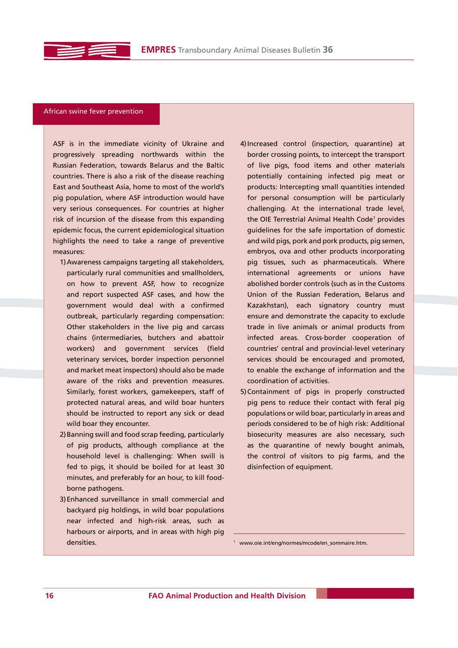

### African swine fever prevention

ASF is in the immediate vicinity of Ukraine and progressively spreading northwards within the Russian Federation, towards Belarus and the Baltic countries. There is also a risk of the disease reaching East and Southeast Asia, home to most of the world's pig population, where ASF introduction would have very serious consequences. For countries at higher risk of incursion of the disease from this expanding epidemic focus, the current epidemiological situation highlights the need to take a range of preventive measures:

- 1) Awareness campaigns targeting all stakeholders, particularly rural communities and smallholders, on how to prevent ASF, how to recognize and report suspected ASF cases, and how the government would deal with a confirmed outbreak, particularly regarding compensation: Other stakeholders in the live pig and carcass chains (intermediaries, butchers and abattoir workers) and government services (field veterinary services, border inspection personnel and market meat inspectors) should also be made aware of the risks and prevention measures. Similarly, forest workers, gamekeepers, staff of protected natural areas, and wild boar hunters should be instructed to report any sick or dead wild boar they encounter.
- 2) Banning swill and food scrap feeding, particularly of pig products, although compliance at the household level is challenging: When swill is fed to pigs, it should be boiled for at least 30 minutes, and preferably for an hour, to kill foodborne pathogens.
- 3) Enhanced surveillance in small commercial and backyard pig holdings, in wild boar populations near infected and high-risk areas, such as harbours or airports, and in areas with high pig densities.
- 4) Increased control (inspection, quarantine) at border crossing points, to intercept the transport of live pigs, food items and other materials potentially containing infected pig meat or products: Intercepting small quantities intended for personal consumption will be particularly challenging. At the international trade level, the OIE Terrestrial Animal Health Code<sup>1</sup> provides guidelines for the safe importation of domestic and wild pigs, pork and pork products, pig semen, embryos, ova and other products incorporating pig tissues, such as pharmaceuticals. Where international agreements or unions have abolished border controls (such as in the Customs Union of the Russian Federation, Belarus and Kazakhstan), each signatory country must ensure and demonstrate the capacity to exclude trade in live animals or animal products from infected areas. Cross-border cooperation of countries' central and provincial-level veterinary services should be encouraged and promoted, to enable the exchange of information and the coordination of activities.
- 5) Containment of pigs in properly constructed pig pens to reduce their contact with feral pig populations or wild boar, particularly in areas and periods considered to be of high risk: Additional biosecurity measures are also necessary, such as the quarantine of newly bought animals, the control of visitors to pig farms, and the disinfection of equipment.

1 www.oie.int/eng/normes/mcode/en\_sommaire.htm.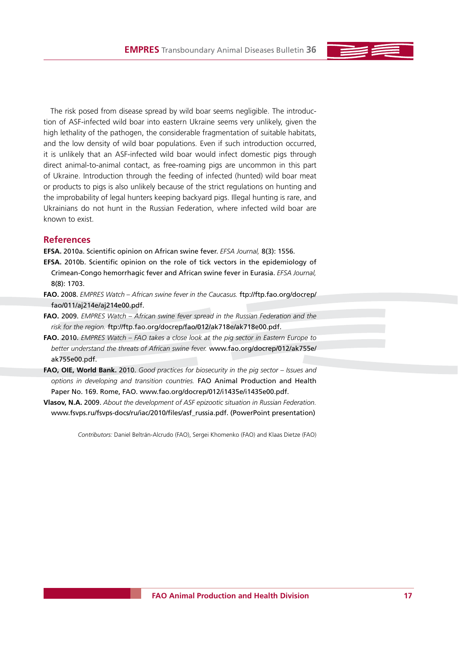The risk posed from disease spread by wild boar seems negligible. The introduction of ASF-infected wild boar into eastern Ukraine seems very unlikely, given the high lethality of the pathogen, the considerable fragmentation of suitable habitats, and the low density of wild boar populations. Even if such introduction occurred, it is unlikely that an ASF-infected wild boar would infect domestic pigs through direct animal-to-animal contact, as free-roaming pigs are uncommon in this part of Ukraine. Introduction through the feeding of infected (hunted) wild boar meat or products to pigs is also unlikely because of the strict regulations on hunting and the improbability of legal hunters keeping backyard pigs. Illegal hunting is rare, and Ukrainians do not hunt in the Russian Federation, where infected wild boar are known to exist.

## **References**

**EFSA.** 2010a. Scientific opinion on African swine fever. *EFSA Journal,* 8(3): 1556.

- **EFSA.** 2010b. Scientific opinion on the role of tick vectors in the epidemiology of Crimean-Congo hemorrhagic fever and African swine fever in Eurasia. *EFSA Journal,* 8(8): 1703.
- **FAO.** 2008. *EMPRES Watch African swine fever in the Caucasus.* ftp://ftp.fao.org/docrep/ fao/011/aj214e/aj214e00.pdf.
- **FAO.** 2009. *EMPRES Watch African swine fever spread in the Russian Federation and the risk for the region.* ftp://ftp.fao.org/docrep/fao/012/ak718e/ak718e00.pdf.
- **FAO.** 2010. *EMPRES Watch FAO takes a close look at the pig sector in Eastern Europe to better understand the threats of African swine fever.* www.fao.org/docrep/012/ak755e/ ak755e00.pdf.
- **FAO, OIE, World Bank.** 2010. *Good practices for biosecurity in the pig sector Issues and options in developing and transition countries.* FAO Animal Production and Health Paper No. 169. Rome, FAO. www.fao.org/docrep/012/i1435e/i1435e00.pdf.
- **Vlasov, N.A.** 2009. *About the development of ASF epizootic situation in Russian Federation.* www.fsvps.ru/fsvps-docs/ru/iac/2010/files/asf\_russia.pdf. (PowerPoint presentation)

*Contributors:* Daniel Beltrán-Alcrudo (FAO), Sergei Khomenko (FAO) and Klaas Dietze (FAO)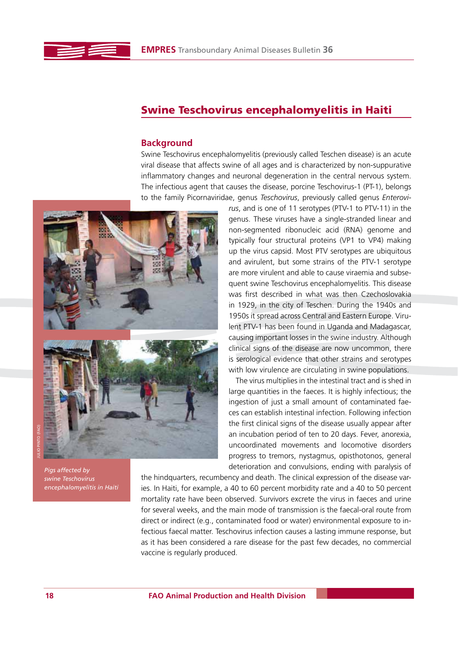

# **Swine Teschovirus encephalomyelitis in Haiti**

## **Background**

Swine Teschovirus encephalomyelitis (previously called Teschen disease) is an acute viral disease that affects swine of all ages and is characterized by non-suppurative inflammatory changes and neuronal degeneration in the central nervous system. The infectious agent that causes the disease, porcine Teschovirus-1 (PT-1), belongs to the family Picornaviridae, genus *Teschovirus*, previously called genus *Enterovi-*



*Pigs affected by swine Teschovirus encephalomyelitis in Haiti*

*rus*, and is one of 11 serotypes (PTV-1 to PTV-11) in the genus. These viruses have a single-stranded linear and non-segmented ribonucleic acid (RNA) genome and typically four structural proteins (VP1 to VP4) making up the virus capsid. Most PTV serotypes are ubiquitous and avirulent, but some strains of the PTV-1 serotype are more virulent and able to cause viraemia and subsequent swine Teschovirus encephalomyelitis. This disease was first described in what was then Czechoslovakia in 1929, in the city of Teschen. During the 1940s and 1950s it spread across Central and Eastern Europe. Virulent PTV-1 has been found in Uganda and Madagascar, causing important losses in the swine industry. Although clinical signs of the disease are now uncommon, there is serological evidence that other strains and serotypes with low virulence are circulating in swine populations.

The virus multiplies in the intestinal tract and is shed in large quantities in the faeces. It is highly infectious; the ingestion of just a small amount of contaminated faeces can establish intestinal infection. Following infection the first clinical signs of the disease usually appear after an incubation period of ten to 20 days. Fever, anorexia, uncoordinated movements and locomotive disorders progress to tremors, nystagmus, opisthotonos, general deterioration and convulsions, ending with paralysis of

the hindquarters, recumbency and death. The clinical expression of the disease varies. In Haiti, for example, a 40 to 60 percent morbidity rate and a 40 to 50 percent mortality rate have been observed. Survivors excrete the virus in faeces and urine for several weeks, and the main mode of transmission is the faecal-oral route from direct or indirect (e.g., contaminated food or water) environmental exposure to infectious faecal matter. Teschovirus infection causes a lasting immune response, but as it has been considered a rare disease for the past few decades, no commercial vaccine is regularly produced.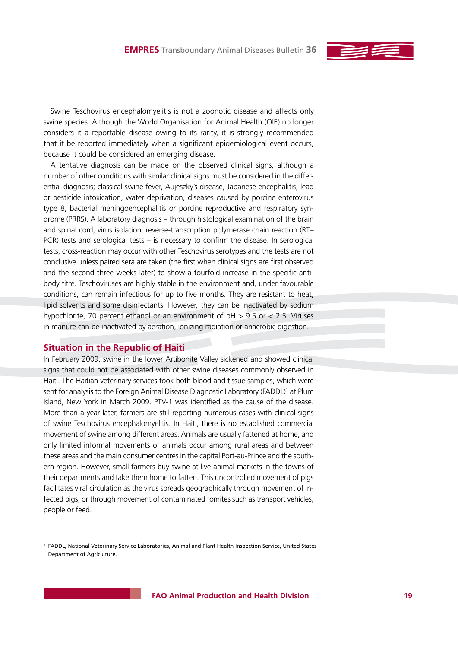Swine Teschovirus encephalomyelitis is not a zoonotic disease and affects only swine species. Although the World Organisation for Animal Health (OIE) no longer considers it a reportable disease owing to its rarity, it is strongly recommended that it be reported immediately when a significant epidemiological event occurs, because it could be considered an emerging disease.

A tentative diagnosis can be made on the observed clinical signs, although a number of other conditions with similar clinical signs must be considered in the differential diagnosis; classical swine fever, Aujeszky's disease, Japanese encephalitis, lead or pesticide intoxication, water deprivation, diseases caused by porcine enterovirus type 8, bacterial meningoencephalitis or porcine reproductive and respiratory syndrome (PRRS). A laboratory diagnosis – through histological examination of the brain and spinal cord, virus isolation, reverse-transcription polymerase chain reaction (RT– PCR) tests and serological tests – is necessary to confirm the disease. In serological tests, cross-reaction may occur with other Teschovirus serotypes and the tests are not conclusive unless paired sera are taken (the first when clinical signs are first observed and the second three weeks later) to show a fourfold increase in the specific antibody titre. Teschoviruses are highly stable in the environment and, under favourable conditions, can remain infectious for up to five months. They are resistant to heat, lipid solvents and some disinfectants. However, they can be inactivated by sodium hypochlorite, 70 percent ethanol or an environment of pH > 9.5 or < 2.5. Viruses in manure can be inactivated by aeration, ionizing radiation or anaerobic digestion.

## **Situation in the Republic of Haiti**

In February 2009, swine in the lower Artibonite Valley sickened and showed clinical signs that could not be associated with other swine diseases commonly observed in Haiti. The Haitian veterinary services took both blood and tissue samples, which were sent for analysis to the Foreign Animal Disease Diagnostic Laboratory (FADDL)<sup>1</sup> at Plum Island, New York in March 2009. PTV-1 was identified as the cause of the disease. More than a year later, farmers are still reporting numerous cases with clinical signs of swine Teschovirus encephalomyelitis. In Haiti, there is no established commercial movement of swine among different areas. Animals are usually fattened at home, and only limited informal movements of animals occur among rural areas and between these areas and the main consumer centres in the capital Port-au-Prince and the southern region. However, small farmers buy swine at live-animal markets in the towns of their departments and take them home to fatten. This uncontrolled movement of pigs facilitates viral circulation as the virus spreads geographically through movement of infected pigs, or through movement of contaminated fomites such as transport vehicles, people or feed.

<sup>1</sup> FADDL, National Veterinary Service Laboratories, Animal and Plant Health Inspection Service, United States Department of Agriculture.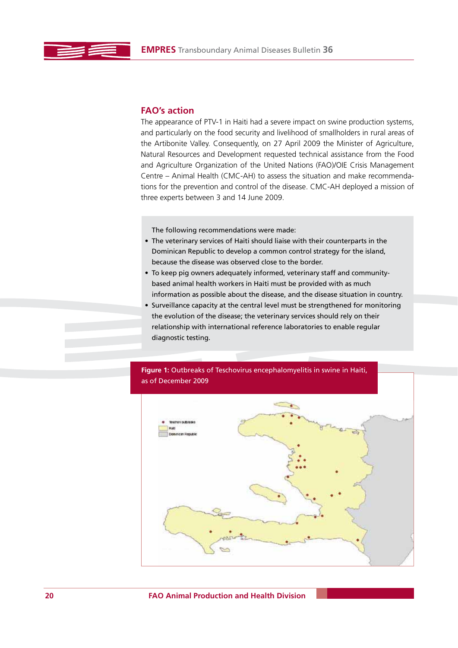## **FAO's action**

The appearance of PTV-1 in Haiti had a severe impact on swine production systems, and particularly on the food security and livelihood of smallholders in rural areas of the Artibonite Valley. Consequently, on 27 April 2009 the Minister of Agriculture, Natural Resources and Development requested technical assistance from the Food and Agriculture Organization of the United Nations (FAO)/OIE Crisis Management Centre – Animal Health (CMC-AH) to assess the situation and make recommendations for the prevention and control of the disease. CMC-AH deployed a mission of three experts between 3 and 14 June 2009.

The following recommendations were made:

- The veterinary services of Haiti should liaise with their counterparts in the Dominican Republic to develop a common control strategy for the island, because the disease was observed close to the border.
- To keep pig owners adequately informed, veterinary staff and communitybased animal health workers in Haiti must be provided with as much information as possible about the disease, and the disease situation in country.
- Surveillance capacity at the central level must be strengthened for monitoring the evolution of the disease; the veterinary services should rely on their relationship with international reference laboratories to enable regular diagnostic testing.

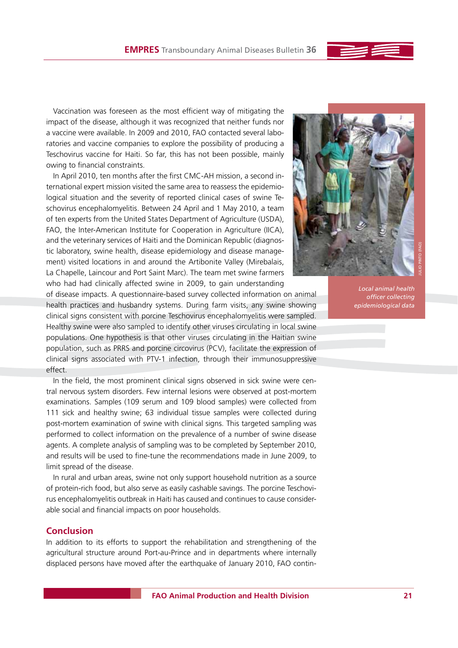

Vaccination was foreseen as the most efficient way of mitigating the impact of the disease, although it was recognized that neither funds nor a vaccine were available. In 2009 and 2010, FAO contacted several laboratories and vaccine companies to explore the possibility of producing a Teschovirus vaccine for Haiti. So far, this has not been possible, mainly owing to financial constraints.

In April 2010, ten months after the first CMC-AH mission, a second international expert mission visited the same area to reassess the epidemiological situation and the severity of reported clinical cases of swine Teschovirus encephalomyelitis. Between 24 April and 1 May 2010, a team of ten experts from the United States Department of Agriculture (USDA), FAO, the Inter-American Institute for Cooperation in Agriculture (IICA), and the veterinary services of Haiti and the Dominican Republic (diagnostic laboratory, swine health, disease epidemiology and disease management) visited locations in and around the Artibonite Valley (Mirebalais, La Chapelle, Laincour and Port Saint Marc). The team met swine farmers who had had clinically affected swine in 2009, to gain understanding



of disease impacts. A questionnaire-based survey collected information on animal health practices and husbandry systems. During farm visits, any swine showing clinical signs consistent with porcine Teschovirus encephalomyelitis were sampled. Healthy swine were also sampled to identify other viruses circulating in local swine populations. One hypothesis is that other viruses circulating in the Haitian swine population, such as PRRS and porcine circovirus (PCV), facilitate the expression of clinical signs associated with PTV-1 infection, through their immunosuppressive effect.

In the field, the most prominent clinical signs observed in sick swine were central nervous system disorders. Few internal lesions were observed at post-mortem examinations. Samples (109 serum and 109 blood samples) were collected from 111 sick and healthy swine; 63 individual tissue samples were collected during post-mortem examination of swine with clinical signs. This targeted sampling was performed to collect information on the prevalence of a number of swine disease agents. A complete analysis of sampling was to be completed by September 2010, and results will be used to fine-tune the recommendations made in June 2009, to limit spread of the disease.

In rural and urban areas, swine not only support household nutrition as a source of protein-rich food, but also serve as easily cashable savings. The porcine Teschovirus encephalomyelitis outbreak in Haiti has caused and continues to cause considerable social and financial impacts on poor households.

## **Conclusion**

In addition to its efforts to support the rehabilitation and strengthening of the agricultural structure around Port-au-Prince and in departments where internally displaced persons have moved after the earthquake of January 2010, FAO contin-

*Local animal health officer collecting epidemiological data*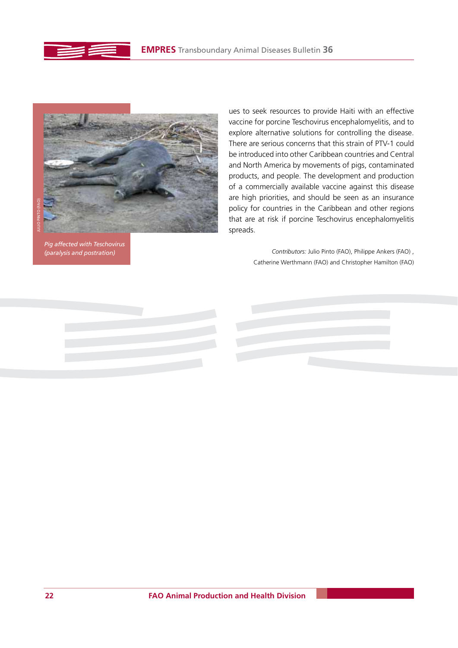



*Pig affected with Teschovirus (paralysis and postration)*

ues to seek resources to provide Haiti with an effective vaccine for porcine Teschovirus encephalomyelitis, and to explore alternative solutions for controlling the disease. There are serious concerns that this strain of PTV-1 could be introduced into other Caribbean countries and Central and North America by movements of pigs, contaminated products, and people. The development and production of a commercially available vaccine against this disease are high priorities, and should be seen as an insurance policy for countries in the Caribbean and other regions that are at risk if porcine Teschovirus encephalomyelitis spreads.

> *Contributors:* Julio Pinto (FAO), Philippe Ankers (FAO) , Catherine Werthmann (FAO) and Christopher Hamilton (FAO)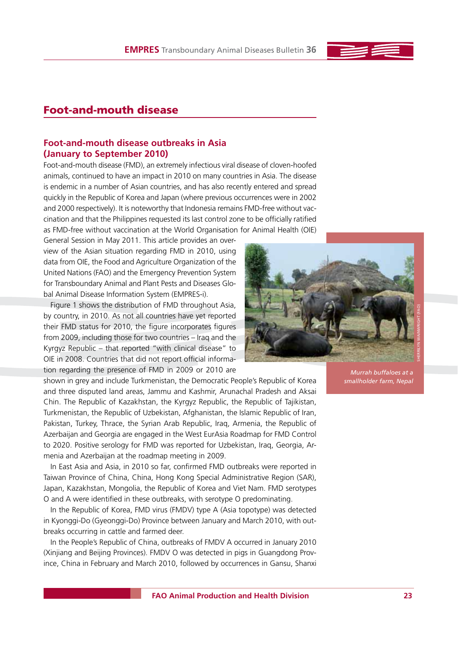# **Foot-and-mouth disease**

## **Foot-and-mouth disease outbreaks in Asia (January to September 2010)**

Foot-and-mouth disease (FMD), an extremely infectious viral disease of cloven-hoofed animals, continued to have an impact in 2010 on many countries in Asia. The disease is endemic in a number of Asian countries, and has also recently entered and spread quickly in the Republic of Korea and Japan (where previous occurrences were in 2002 and 2000 respectively). It is noteworthy that Indonesia remains FMD-free without vaccination and that the Philippines requested its last control zone to be officially ratified as FMD-free without vaccination at the World Organisation for Animal Health (OIE)

General Session in May 2011. This article provides an overview of the Asian situation regarding FMD in 2010, using data from OIE, the Food and Agriculture Organization of the United Nations (FAO) and the Emergency Prevention System for Transboundary Animal and Plant Pests and Diseases Global Animal Disease Information System (EMPRES-i).

Figure 1 shows the distribution of FMD throughout Asia, by country, in 2010. As not all countries have yet reported their FMD status for 2010, the figure incorporates figures from 2009, including those for two countries – Iraq and the Kyrgyz Republic – that reported "with clinical disease" to OIE in 2008. Countries that did not report official information regarding the presence of FMD in 2009 or 2010 are

shown in grey and include Turkmenistan, the Democratic People's Republic of Korea and three disputed land areas, Jammu and Kashmir, Arunachal Pradesh and Aksai Chin. The Republic of Kazakhstan, the Kyrgyz Republic, the Republic of Tajikistan, Turkmenistan, the Republic of Uzbekistan, Afghanistan, the Islamic Republic of Iran, Pakistan, Turkey, Thrace, the Syrian Arab Republic, Iraq, Armenia, the Republic of Azerbaijan and Georgia are engaged in the West EurAsia Roadmap for FMD Control to 2020. Positive serology for FMD was reported for Uzbekistan, Iraq, Georgia, Armenia and Azerbaijan at the roadmap meeting in 2009.

In East Asia and Asia, in 2010 so far, confirmed FMD outbreaks were reported in Taiwan Province of China, China, Hong Kong Special Administrative Region (SAR), Japan, Kazakhstan, Mongolia, the Republic of Korea and Viet Nam. FMD serotypes O and A were identified in these outbreaks, with serotype O predominating.

In the Republic of Korea, FMD virus (FMDV) type A (Asia topotype) was detected in Kyonggi-Do (Gyeonggi-Do) Province between January and March 2010, with outbreaks occurring in cattle and farmed deer.

In the People's Republic of China, outbreaks of FMDV A occurred in January 2010 (Xinjiang and Beijing Provinces). FMDV O was detected in pigs in Guangdong Province, China in February and March 2010, followed by occurrences in Gansu, Shanxi

*Murrah buffaloes at a smallholder farm, Nepal*



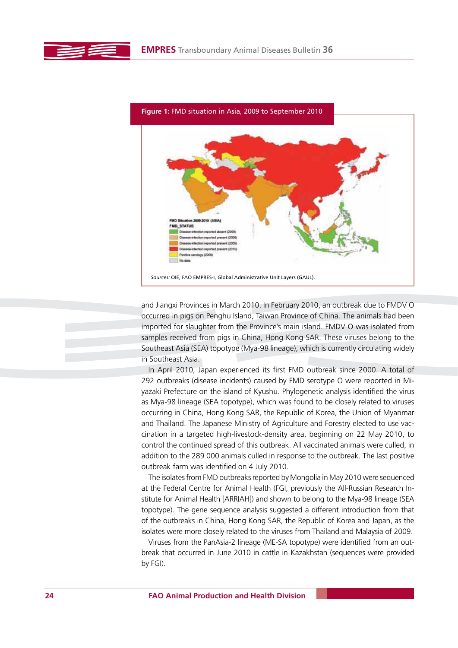

**Figure 1:** FMD situation in Asia, 2009 to September 2010

and Jiangxi Provinces in March 2010. In February 2010, an outbreak due to FMDV O occurred in pigs on Penghu Island, Taiwan Province of China. The animals had been imported for slaughter from the Province's main island. FMDV O was isolated from samples received from pigs in China, Hong Kong SAR. These viruses belong to the Southeast Asia (SEA) topotype (Mya-98 lineage), which is currently circulating widely in Southeast Asia.

In April 2010, Japan experienced its first FMD outbreak since 2000. A total of 292 outbreaks (disease incidents) caused by FMD serotype O were reported in Miyazaki Prefecture on the island of Kyushu. Phylogenetic analysis identified the virus as Mya-98 lineage (SEA topotype), which was found to be closely related to viruses occurring in China, Hong Kong SAR, the Republic of Korea, the Union of Myanmar and Thailand. The Japanese Ministry of Agriculture and Forestry elected to use vaccination in a targeted high-livestock-density area, beginning on 22 May 2010, to control the continued spread of this outbreak. All vaccinated animals were culled, in addition to the 289 000 animals culled in response to the outbreak. The last positive outbreak farm was identified on 4 July 2010.

The isolates from FMD outbreaks reported by Mongolia in May 2010 were sequenced at the Federal Centre for Animal Health (FGI, previously the All-Russian Research Institute for Animal Health [ARRIAH]) and shown to belong to the Mya-98 lineage (SEA topotype). The gene sequence analysis suggested a different introduction from that of the outbreaks in China, Hong Kong SAR, the Republic of Korea and Japan, as the isolates were more closely related to the viruses from Thailand and Malaysia of 2009.

Viruses from the PanAsia-2 lineage (ME-SA topotype) were identified from an outbreak that occurred in June 2010 in cattle in Kazakhstan (sequences were provided by FGI).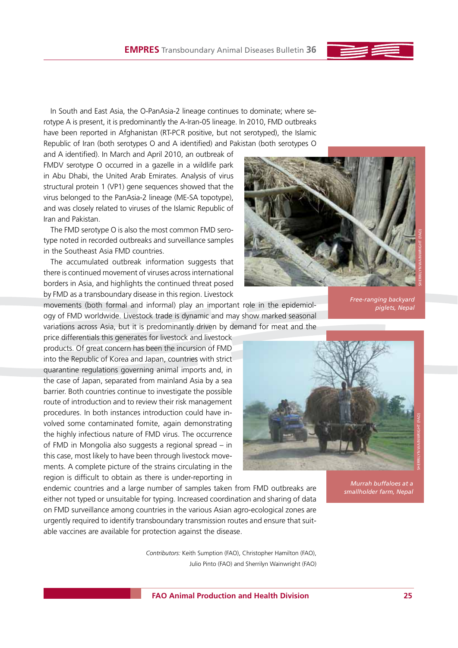In South and East Asia, the O-PanAsia-2 lineage continues to dominate; where serotype A is present, it is predominantly the A-Iran-05 lineage. In 2010, FMD outbreaks have been reported in Afghanistan (RT-PCR positive, but not serotyped), the Islamic Republic of Iran (both serotypes O and A identified) and Pakistan (both serotypes O

and A identified). In March and April 2010, an outbreak of FMDV serotype O occurred in a gazelle in a wildlife park in Abu Dhabi, the United Arab Emirates. Analysis of virus structural protein 1 (VP1) gene sequences showed that the virus belonged to the PanAsia-2 lineage (ME-SA topotype), and was closely related to viruses of the Islamic Republic of Iran and Pakistan.

The FMD serotype O is also the most common FMD serotype noted in recorded outbreaks and surveillance samples in the Southeast Asia FMD countries.

The accumulated outbreak information suggests that there is continued movement of viruses across international borders in Asia, and highlights the continued threat posed by FMD as a transboundary disease in this region. Livestock



movements (both formal and informal) play an important role in the epidemiology of FMD worldwide. Livestock trade is dynamic and may show marked seasonal variations across Asia, but it is predominantly driven by demand for meat and the *Free-ranging backyard piglets, Nepal*

SHERRILYN WAINWRIGHT (FAO)

price differentials this generates for livestock and livestock products. Of great concern has been the incursion of FMD into the Republic of Korea and Japan, countries with strict quarantine regulations governing animal imports and, in the case of Japan, separated from mainland Asia by a sea barrier. Both countries continue to investigate the possible route of introduction and to review their risk management procedures. In both instances introduction could have involved some contaminated fomite, again demonstrating the highly infectious nature of FMD virus. The occurrence of FMD in Mongolia also suggests a regional spread – in this case, most likely to have been through livestock movements. A complete picture of the strains circulating in the region is difficult to obtain as there is under-reporting in



endemic countries and a large number of samples taken from FMD outbreaks are either not typed or unsuitable for typing. Increased coordination and sharing of data on FMD surveillance among countries in the various Asian agro-ecological zones are urgently required to identify transboundary transmission routes and ensure that suitable vaccines are available for protection against the disease.

> *Contributors:* Keith Sumption (FAO), Christopher Hamilton (FAO), Julio Pinto (FAO) and Sherrilyn Wainwright (FAO)

*Murrah buffaloes at a smallholder farm, Nepal*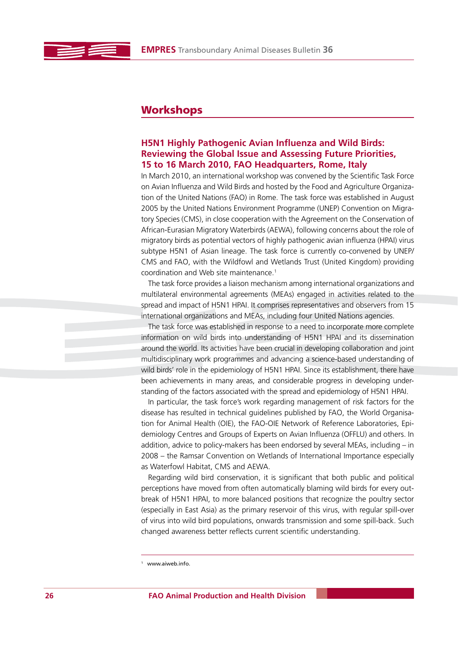# **Workshops**

## **H5N1 Highly Pathogenic Avian Influenza and Wild Birds: Reviewing the Global Issue and Assessing Future Priorities, 15 to 16 March 2010, FAO Headquarters, Rome, Italy**

In March 2010, an international workshop was convened by the Scientific Task Force on Avian Influenza and Wild Birds and hosted by the Food and Agriculture Organization of the United Nations (FAO) in Rome. The task force was established in August 2005 by the United Nations Environment Programme (UNEP) Convention on Migratory Species (CMS), in close cooperation with the Agreement on the Conservation of African-Eurasian Migratory Waterbirds (AEWA), following concerns about the role of migratory birds as potential vectors of highly pathogenic avian influenza (HPAI) virus subtype H5N1 of Asian lineage. The task force is currently co-convened by UNEP/ CMS and FAO, with the Wildfowl and Wetlands Trust (United Kingdom) providing coordination and Web site maintenance.1

The task force provides a liaison mechanism among international organizations and multilateral environmental agreements (MEAs) engaged in activities related to the spread and impact of H5N1 HPAI. It comprises representatives and observers from 15 international organizations and MEAs, including four United Nations agencies.

The task force was established in response to a need to incorporate more complete information on wild birds into understanding of H5N1 HPAI and its dissemination around the world. Its activities have been crucial in developing collaboration and joint multidisciplinary work programmes and advancing a science-based understanding of wild birds' role in the epidemiology of H5N1 HPAI. Since its establishment, there have been achievements in many areas, and considerable progress in developing understanding of the factors associated with the spread and epidemiology of H5N1 HPAI.

In particular, the task force's work regarding management of risk factors for the disease has resulted in technical guidelines published by FAO, the World Organisation for Animal Health (OIE), the FAO-OIE Network of Reference Laboratories, Epidemiology Centres and Groups of Experts on Avian Influenza (OFFLU) and others. In addition, advice to policy-makers has been endorsed by several MEAs, including – in 2008 – the Ramsar Convention on Wetlands of International Importance especially as Waterfowl Habitat, CMS and AEWA.

Regarding wild bird conservation, it is significant that both public and political perceptions have moved from often automatically blaming wild birds for every outbreak of H5N1 HPAI, to more balanced positions that recognize the poultry sector (especially in East Asia) as the primary reservoir of this virus, with regular spill-over of virus into wild bird populations, onwards transmission and some spill-back. Such changed awareness better reflects current scientific understanding.

<sup>1</sup> www.aiweb.info.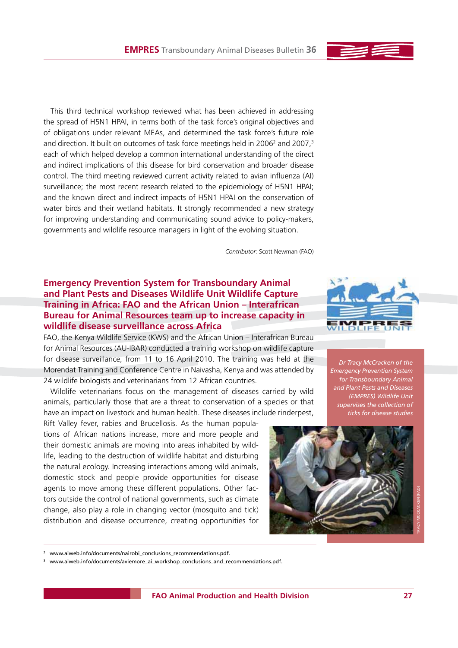This third technical workshop reviewed what has been achieved in addressing the spread of H5N1 HPAI, in terms both of the task force's original objectives and of obligations under relevant MEAs, and determined the task force's future role and direction. It built on outcomes of task force meetings held in 2006<sup>2</sup> and 2007,<sup>3</sup> each of which helped develop a common international understanding of the direct and indirect implications of this disease for bird conservation and broader disease control. The third meeting reviewed current activity related to avian influenza (AI) surveillance; the most recent research related to the epidemiology of H5N1 HPAI; and the known direct and indirect impacts of H5N1 HPAI on the conservation of water birds and their wetland habitats. It strongly recommended a new strategy for improving understanding and communicating sound advice to policy-makers, governments and wildlife resource managers in light of the evolving situation.

*Contributor:* Scott Newman (FAO)

# **Emergency Prevention System for Transboundary Animal and Plant Pests and Diseases Wildlife Unit Wildlife Capture Training in Africa: FAO and the African Union – Interafrican Bureau for Animal Resources team up to increase capacity in wildlife disease surveillance across Africa**

FAO, the Kenya Wildlife Service (KWS) and the African Union – Interafrican Bureau for Animal Resources (AU-IBAR) conducted a training workshop on wildlife capture for disease surveillance, from 11 to 16 April 2010. The training was held at the Morendat Training and Conference Centre in Naivasha, Kenya and was attended by 24 wildlife biologists and veterinarians from 12 African countries.

Wildlife veterinarians focus on the management of diseases carried by wild animals, particularly those that are a threat to conservation of a species or that have an impact on livestock and human health. These diseases include rinderpest,

Rift Valley fever, rabies and Brucellosis. As the human populations of African nations increase, more and more people and their domestic animals are moving into areas inhabited by wildlife, leading to the destruction of wildlife habitat and disturbing the natural ecology. Increasing interactions among wild animals, domestic stock and people provide opportunities for disease agents to move among these different populations. Other factors outside the control of national governments, such as climate change, also play a role in changing vector (mosquito and tick) distribution and disease occurrence, creating opportunities for



*Dr Tracy McCracken of the Emergency Prevention System for Transboundary Animal and Plant Pests and Diseases (EMPRES) Wildlife Unit supervises the collection of ticks for disease studies*



<sup>&</sup>lt;sup>2</sup> www.aiweb.info/documents/nairobi\_conclusions\_recommendations.pdf.

<sup>3</sup> www.aiweb.info/documents/aviemore\_ai\_workshop\_conclusions\_and\_recommendations.pdf.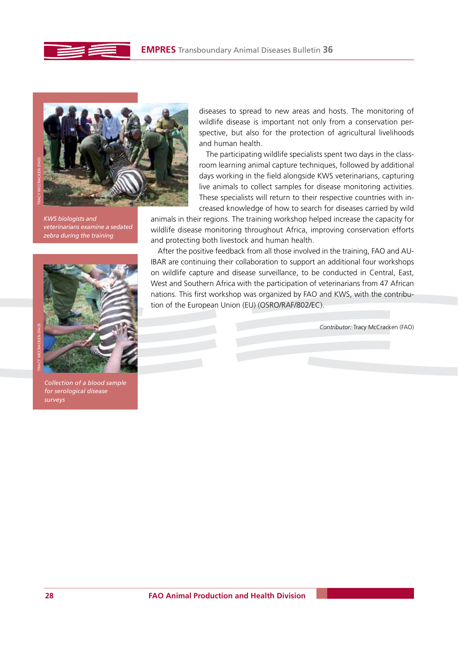



*KWS biologists and veterinarians examine a sedated zebra during the training*



*Collection of a blood sample for serological disease surveys*

diseases to spread to new areas and hosts. The monitoring of wildlife disease is important not only from a conservation perspective, but also for the protection of agricultural livelihoods and human health.

The participating wildlife specialists spent two days in the classroom learning animal capture techniques, followed by additional days working in the field alongside KWS veterinarians, capturing live animals to collect samples for disease monitoring activities. These specialists will return to their respective countries with increased knowledge of how to search for diseases carried by wild

animals in their regions. The training workshop helped increase the capacity for wildlife disease monitoring throughout Africa, improving conservation efforts and protecting both livestock and human health.

After the positive feedback from all those involved in the training, FAO and AU-IBAR are continuing their collaboration to support an additional four workshops on wildlife capture and disease surveillance, to be conducted in Central, East, West and Southern Africa with the participation of veterinarians from 47 African nations. This first workshop was organized by FAO and KWS, with the contribution of the European Union (EU) (OSRO/RAF/802/EC).

*Contributor:* Tracy McCracken (FAO)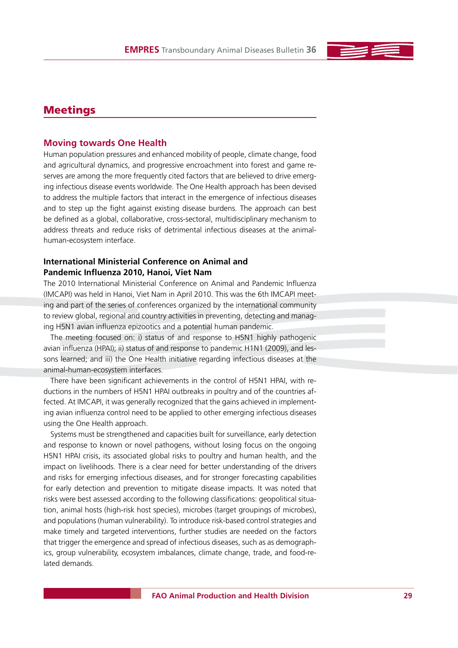

## **Meetings**

## **Moving towards One Health**

Human population pressures and enhanced mobility of people, climate change, food and agricultural dynamics, and progressive encroachment into forest and game reserves are among the more frequently cited factors that are believed to drive emerging infectious disease events worldwide. The One Health approach has been devised to address the multiple factors that interact in the emergence of infectious diseases and to step up the fight against existing disease burdens. The approach can best be defined as a global, collaborative, cross-sectoral, multidisciplinary mechanism to address threats and reduce risks of detrimental infectious diseases at the animalhuman-ecosystem interface.

## **International Ministerial Conference on Animal and Pandemic Influenza 2010, Hanoi, Viet Nam**

The 2010 International Ministerial Conference on Animal and Pandemic Influenza (IMCAPI) was held in Hanoi, Viet Nam in April 2010. This was the 6th IMCAPI meeting and part of the series of conferences organized by the international community to review global, regional and country activities in preventing, detecting and managing H5N1 avian influenza epizootics and a potential human pandemic.

The meeting focused on: i) status of and response to H5N1 highly pathogenic avian influenza (HPAI); ii) status of and response to pandemic H1N1 (2009), and lessons learned; and iii) the One Health initiative regarding infectious diseases at the animal-human-ecosystem interfaces.

There have been significant achievements in the control of H5N1 HPAI, with reductions in the numbers of H5N1 HPAI outbreaks in poultry and of the countries affected. At IMCAPI, it was generally recognized that the gains achieved in implementing avian influenza control need to be applied to other emerging infectious diseases using the One Health approach.

Systems must be strengthened and capacities built for surveillance, early detection and response to known or novel pathogens, without losing focus on the ongoing H5N1 HPAI crisis, its associated global risks to poultry and human health, and the impact on livelihoods. There is a clear need for better understanding of the drivers and risks for emerging infectious diseases, and for stronger forecasting capabilities for early detection and prevention to mitigate disease impacts. It was noted that risks were best assessed according to the following classifications: geopolitical situation, animal hosts (high-risk host species), microbes (target groupings of microbes), and populations (human vulnerability). To introduce risk-based control strategies and make timely and targeted interventions, further studies are needed on the factors that trigger the emergence and spread of infectious diseases, such as as demographics, group vulnerability, ecosystem imbalances, climate change, trade, and food-related demands.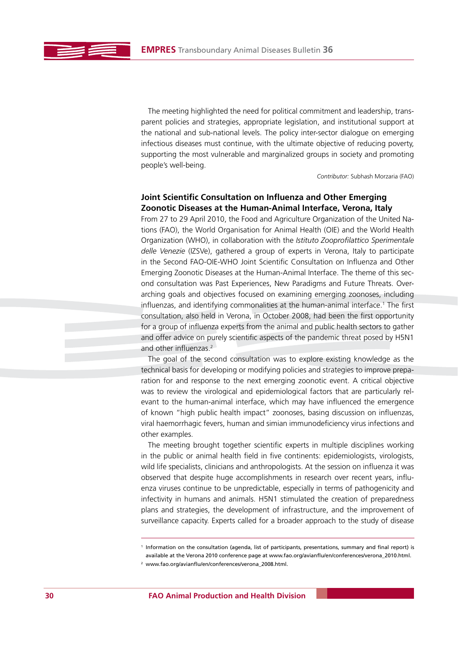The meeting highlighted the need for political commitment and leadership, transparent policies and strategies, appropriate legislation, and institutional support at the national and sub-national levels. The policy inter-sector dialogue on emerging infectious diseases must continue, with the ultimate objective of reducing poverty, supporting the most vulnerable and marginalized groups in society and promoting people's well-being.

*Contributor:* Subhash Morzaria (FAO)

## **Joint Scientific Consultation on Influenza and Other Emerging Zoonotic Diseases at the Human-Animal Interface, Verona, Italy**

From 27 to 29 April 2010, the Food and Agriculture Organization of the United Nations (FAO), the World Organisation for Animal Health (OIE) and the World Health Organization (WHO), in collaboration with the *Istituto Zooprofilattico Sperimentale delle Venezie* (IZSVe), gathered a group of experts in Verona, Italy to participate in the Second FAO-OIE-WHO Joint Scientific Consultation on Influenza and Other Emerging Zoonotic Diseases at the Human-Animal Interface. The theme of this second consultation was Past Experiences, New Paradigms and Future Threats. Overarching goals and objectives focused on examining emerging zoonoses, including influenzas, and identifying commonalities at the human-animal interface.1 The first consultation, also held in Verona, in October 2008, had been the first opportunity for a group of influenza experts from the animal and public health sectors to gather and offer advice on purely scientific aspects of the pandemic threat posed by H5N1 and other influenzas.<sup>2</sup>

The goal of the second consultation was to explore existing knowledge as the technical basis for developing or modifying policies and strategies to improve preparation for and response to the next emerging zoonotic event. A critical objective was to review the virological and epidemiological factors that are particularly relevant to the human-animal interface, which may have influenced the emergence of known "high public health impact" zoonoses, basing discussion on influenzas, viral haemorrhagic fevers, human and simian immunodeficiency virus infections and other examples.

The meeting brought together scientific experts in multiple disciplines working in the public or animal health field in five continents: epidemiologists, virologists, wild life specialists, clinicians and anthropologists. At the session on influenza it was observed that despite huge accomplishments in research over recent years, influenza viruses continue to be unpredictable, especially in terms of pathogenicity and infectivity in humans and animals. H5N1 stimulated the creation of preparedness plans and strategies, the development of infrastructure, and the improvement of surveillance capacity. Experts called for a broader approach to the study of disease

<sup>1</sup> Information on the consultation (agenda, list of participants, presentations, summary and final report) is available at the Verona 2010 conference page at www.fao.org/avianflu/en/conferences/verona\_2010.html.

<sup>2</sup> www.fao.org/avianflu/en/conferences/verona\_2008.html.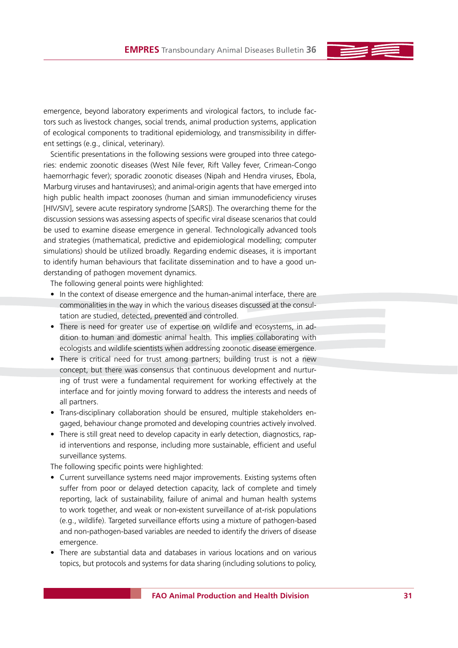emergence, beyond laboratory experiments and virological factors, to include factors such as livestock changes, social trends, animal production systems, application of ecological components to traditional epidemiology, and transmissibility in different settings (e.g., clinical, veterinary).

Scientific presentations in the following sessions were grouped into three categories: endemic zoonotic diseases (West Nile fever, Rift Valley fever, Crimean-Congo haemorrhagic fever); sporadic zoonotic diseases (Nipah and Hendra viruses, Ebola, Marburg viruses and hantaviruses); and animal-origin agents that have emerged into high public health impact zoonoses (human and simian immunodeficiency viruses [HIV/SIV], severe acute respiratory syndrome [SARS]). The overarching theme for the discussion sessions was assessing aspects of specific viral disease scenarios that could be used to examine disease emergence in general. Technologically advanced tools and strategies (mathematical, predictive and epidemiological modelling; computer simulations) should be utilized broadly. Regarding endemic diseases, it is important to identify human behaviours that facilitate dissemination and to have a good understanding of pathogen movement dynamics.

The following general points were highlighted:

- In the context of disease emergence and the human-animal interface, there are commonalities in the way in which the various diseases discussed at the consultation are studied, detected, prevented and controlled.
- There is need for greater use of expertise on wildlife and ecosystems, in addition to human and domestic animal health. This implies collaborating with ecologists and wildlife scientists when addressing zoonotic disease emergence.
- There is critical need for trust among partners; building trust is not a new concept, but there was consensus that continuous development and nurturing of trust were a fundamental requirement for working effectively at the interface and for jointly moving forward to address the interests and needs of all partners.
- Trans-disciplinary collaboration should be ensured, multiple stakeholders engaged, behaviour change promoted and developing countries actively involved.
- There is still great need to develop capacity in early detection, diagnostics, rapid interventions and response, including more sustainable, efficient and useful surveillance systems.

The following specific points were highlighted:

- Current surveillance systems need major improvements. Existing systems often suffer from poor or delayed detection capacity, lack of complete and timely reporting, lack of sustainability, failure of animal and human health systems to work together, and weak or non-existent surveillance of at-risk populations (e.g., wildlife). Targeted surveillance efforts using a mixture of pathogen-based and non-pathogen-based variables are needed to identify the drivers of disease emergence.
- t There are substantial data and databases in various locations and on various topics, but protocols and systems for data sharing (including solutions to policy,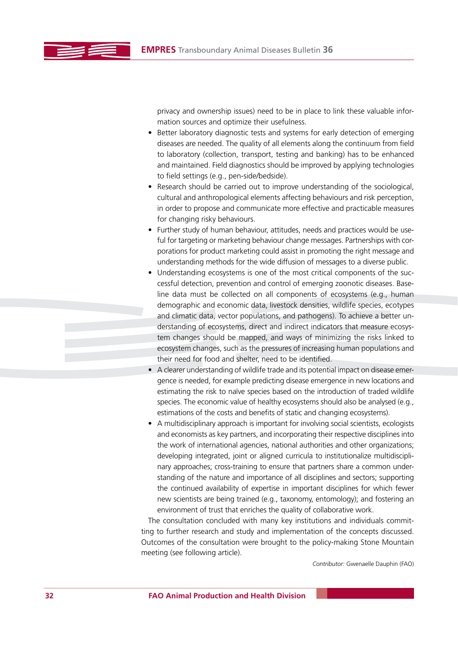privacy and ownership issues) need to be in place to link these valuable information sources and optimize their usefulness.

- Better laboratory diagnostic tests and systems for early detection of emerging diseases are needed. The quality of all elements along the continuum from field to laboratory (collection, transport, testing and banking) has to be enhanced and maintained. Field diagnostics should be improved by applying technologies to field settings (e.g., pen-side/bedside).
- Research should be carried out to improve understanding of the sociological, cultural and anthropological elements affecting behaviours and risk perception, in order to propose and communicate more effective and practicable measures for changing risky behaviours.
- Further study of human behaviour, attitudes, needs and practices would be useful for targeting or marketing behaviour change messages. Partnerships with corporations for product marketing could assist in promoting the right message and understanding methods for the wide diffusion of messages to a diverse public.
- Understanding ecosystems is one of the most critical components of the successful detection, prevention and control of emerging zoonotic diseases. Baseline data must be collected on all components of ecosystems (e.g., human demographic and economic data, livestock densities, wildlife species, ecotypes and climatic data, vector populations, and pathogens). To achieve a better understanding of ecosystems, direct and indirect indicators that measure ecosystem changes should be mapped, and ways of minimizing the risks linked to ecosystem changes, such as the pressures of increasing human populations and their need for food and shelter, need to be identified.
- $\bullet$  A clearer understanding of wildlife trade and its potential impact on disease emergence is needed, for example predicting disease emergence in new locations and estimating the risk to naïve species based on the introduction of traded wildlife species. The economic value of healthy ecosystems should also be analysed (e.g., estimations of the costs and benefits of static and changing ecosystems).
- A multidisciplinary approach is important for involving social scientists, ecologists and economists as key partners, and incorporating their respective disciplines into the work of international agencies, national authorities and other organizations; developing integrated, joint or aligned curricula to institutionalize multidisciplinary approaches; cross-training to ensure that partners share a common understanding of the nature and importance of all disciplines and sectors; supporting the continued availability of expertise in important disciplines for which fewer new scientists are being trained (e.g., taxonomy, entomology); and fostering an environment of trust that enriches the quality of collaborative work.

The consultation concluded with many key institutions and individuals committing to further research and study and implementation of the concepts discussed. Outcomes of the consultation were brought to the policy-making Stone Mountain meeting (see following article).

*Contributor:* Gwenaelle Dauphin (FAO)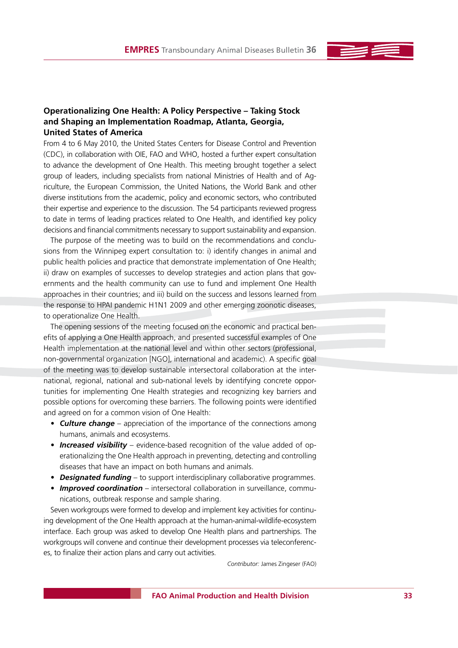## **Operationalizing One Health: A Policy Perspective – Taking Stock and Shaping an Implementation Roadmap, Atlanta, Georgia, United States of America**

From 4 to 6 May 2010, the United States Centers for Disease Control and Prevention (CDC), in collaboration with OIE, FAO and WHO, hosted a further expert consultation to advance the development of One Health. This meeting brought together a select group of leaders, including specialists from national Ministries of Health and of Agriculture, the European Commission, the United Nations, the World Bank and other diverse institutions from the academic, policy and economic sectors, who contributed their expertise and experience to the discussion. The 54 participants reviewed progress to date in terms of leading practices related to One Health, and identified key policy decisions and financial commitments necessary to support sustainability and expansion.

The purpose of the meeting was to build on the recommendations and conclusions from the Winnipeg expert consultation to: i) identify changes in animal and public health policies and practice that demonstrate implementation of One Health; ii) draw on examples of successes to develop strategies and action plans that governments and the health community can use to fund and implement One Health approaches in their countries; and iii) build on the success and lessons learned from the response to HPAI pandemic H1N1 2009 and other emerging zoonotic diseases, to operationalize One Health.

The opening sessions of the meeting focused on the economic and practical benefits of applying a One Health approach, and presented successful examples of One Health implementation at the national level and within other sectors (professional, non-governmental organization [NGO], international and academic). A specific goal of the meeting was to develop sustainable intersectoral collaboration at the international, regional, national and sub-national levels by identifying concrete opportunities for implementing One Health strategies and recognizing key barriers and possible options for overcoming these barriers. The following points were identified and agreed on for a common vision of One Health:

- **Culture change** appreciation of the importance of the connections among humans, animals and ecosystems.
- **Increased visibility** evidence-based recognition of the value added of operationalizing the One Health approach in preventing, detecting and controlling diseases that have an impact on both humans and animals.
- **Designated funding** to support interdisciplinary collaborative programmes.
- *Improved coordination* intersectoral collaboration in surveillance, communications, outbreak response and sample sharing.

Seven workgroups were formed to develop and implement key activities for continuing development of the One Health approach at the human-animal-wildlife-ecosystem interface. Each group was asked to develop One Health plans and partnerships. The workgroups will convene and continue their development processes via teleconferences, to finalize their action plans and carry out activities.

*Contributor:* James Zingeser (FAO)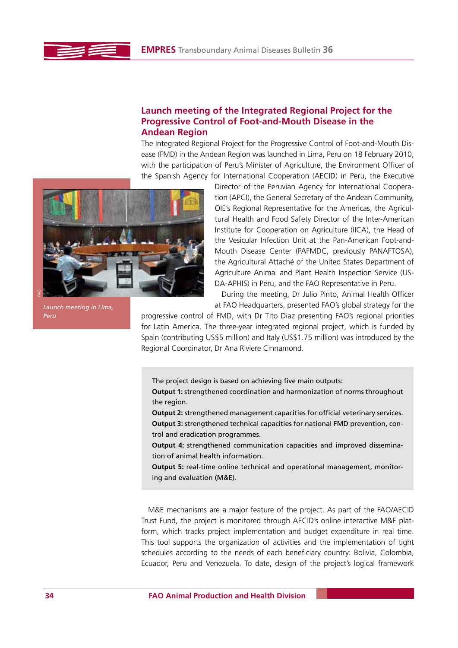## **Launch meeting of the Integrated Regional Project for the Progressive Control of Foot-and-Mouth Disease in the Andean Region**

The Integrated Regional Project for the Progressive Control of Foot-and-Mouth Disease (FMD) in the Andean Region was launched in Lima, Peru on 18 February 2010, with the participation of Peru's Minister of Agriculture, the Environment Officer of the Spanish Agency for International Cooperation (AECID) in Peru, the Executive



Director of the Peruvian Agency for International Cooperation (APCI), the General Secretary of the Andean Community, OIE's Regional Representative for the Americas, the Agricultural Health and Food Safety Director of the Inter-American Institute for Cooperation on Agriculture (IICA), the Head of the Vesicular Infection Unit at the Pan-American Foot-and-Mouth Disease Center (PAFMDC, previously PANAFTOSA), the Agricultural Attaché of the United States Department of Agriculture Animal and Plant Health Inspection Service (US-DA-APHIS) in Peru, and the FAO Representative in Peru.

During the meeting, Dr Julio Pinto, Animal Health Officer at FAO Headquarters, presented FAO's global strategy for the

progressive control of FMD, with Dr Tito Diaz presenting FAO's regional priorities for Latin America. The three-year integrated regional project, which is funded by Spain (contributing US\$5 million) and Italy (US\$1.75 million) was introduced by the Regional Coordinator, Dr Ana Riviere Cinnamond.

The project design is based on achieving five main outputs: **Output 1:** strengthened coordination and harmonization of norms throughout the region.

**Output 2:** strengthened management capacities for official veterinary services. **Output 3:** strengthened technical capacities for national FMD prevention, control and eradication programmes.

**Output 4:** strengthened communication capacities and improved dissemination of animal health information.

**Output 5:** real-time online technical and operational management, monitoring and evaluation (M&E).

M&E mechanisms are a major feature of the project. As part of the FAO/AECID Trust Fund, the project is monitored through AECID's online interactive M&E platform, which tracks project implementation and budget expenditure in real time. This tool supports the organization of activities and the implementation of tight schedules according to the needs of each beneficiary country: Bolivia, Colombia, Ecuador, Peru and Venezuela. To date, design of the project's logical framework

*Launch meeting in Lima, Peru*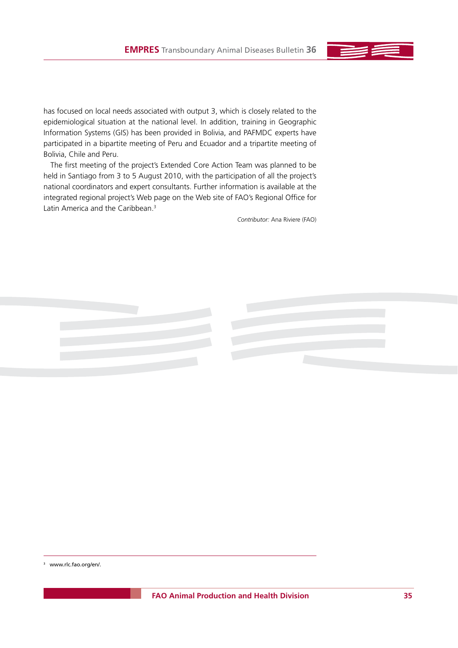has focused on local needs associated with output 3, which is closely related to the epidemiological situation at the national level. In addition, training in Geographic Information Systems (GIS) has been provided in Bolivia, and PAFMDC experts have participated in a bipartite meeting of Peru and Ecuador and a tripartite meeting of Bolivia, Chile and Peru.

The first meeting of the project's Extended Core Action Team was planned to be held in Santiago from 3 to 5 August 2010, with the participation of all the project's national coordinators and expert consultants. Further information is available at the integrated regional project's Web page on the Web site of FAO's Regional Office for Latin America and the Caribbean.3

*Contributor:* Ana Riviere (FAO)



3 www.rlc.fao.org/en/.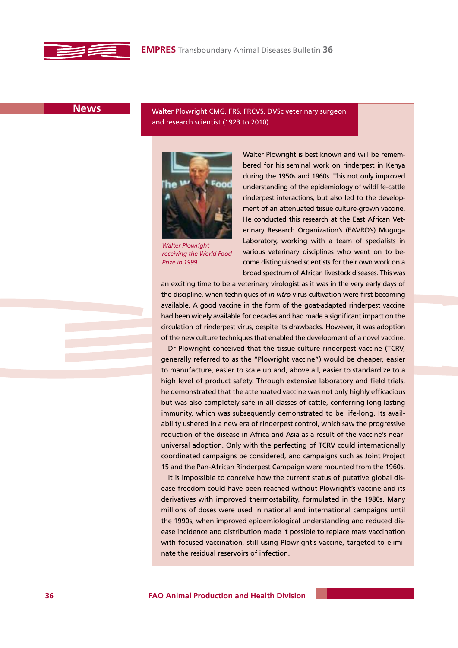

**News**

Walter Plowright CMG, FRS, FRCVS, DVSc veterinary surgeon and research scientist (1923 to 2010)



*Walter Plowright receiving the World Food Prize in 1999*

Walter Plowright is best known and will be remembered for his seminal work on rinderpest in Kenya during the 1950s and 1960s. This not only improved understanding of the epidemiology of wildlife-cattle rinderpest interactions, but also led to the development of an attenuated tissue culture-grown vaccine. He conducted this research at the East African Veterinary Research Organization's (EAVRO's) Muguga Laboratory, working with a team of specialists in various veterinary disciplines who went on to become distinguished scientists for their own work on a broad spectrum of African livestock diseases. This was

an exciting time to be a veterinary virologist as it was in the very early days of the discipline, when techniques of *in vitro* virus cultivation were first becoming available. A good vaccine in the form of the goat-adapted rinderpest vaccine had been widely available for decades and had made a significant impact on the circulation of rinderpest virus, despite its drawbacks. However, it was adoption of the new culture techniques that enabled the development of a novel vaccine.

Dr Plowright conceived that the tissue-culture rinderpest vaccine (TCRV, generally referred to as the "Plowright vaccine") would be cheaper, easier to manufacture, easier to scale up and, above all, easier to standardize to a high level of product safety. Through extensive laboratory and field trials, he demonstrated that the attenuated vaccine was not only highly efficacious but was also completely safe in all classes of cattle, conferring long-lasting immunity, which was subsequently demonstrated to be life-long. Its availability ushered in a new era of rinderpest control, which saw the progressive reduction of the disease in Africa and Asia as a result of the vaccine's nearuniversal adoption. Only with the perfecting of TCRV could internationally coordinated campaigns be considered, and campaigns such as Joint Project 15 and the Pan-African Rinderpest Campaign were mounted from the 1960s.

It is impossible to conceive how the current status of putative global disease freedom could have been reached without Plowright's vaccine and its derivatives with improved thermostability, formulated in the 1980s. Many millions of doses were used in national and international campaigns until the 1990s, when improved epidemiological understanding and reduced disease incidence and distribution made it possible to replace mass vaccination with focused vaccination, still using Plowright's vaccine, targeted to eliminate the residual reservoirs of infection.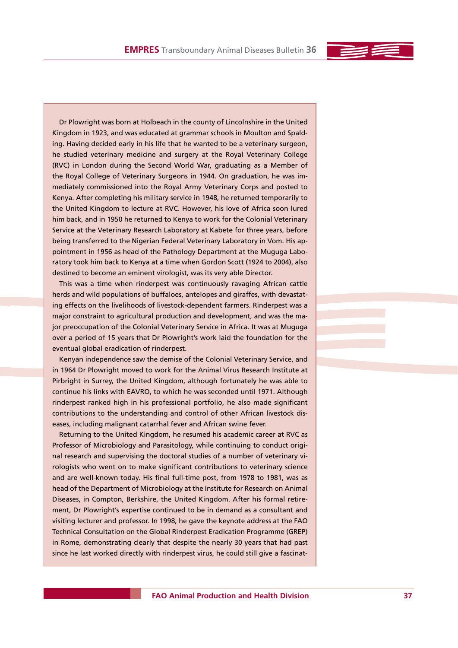Dr Plowright was born at Holbeach in the county of Lincolnshire in the United Kingdom in 1923, and was educated at grammar schools in Moulton and Spalding. Having decided early in his life that he wanted to be a veterinary surgeon, he studied veterinary medicine and surgery at the Royal Veterinary College (RVC) in London during the Second World War, graduating as a Member of the Royal College of Veterinary Surgeons in 1944. On graduation, he was immediately commissioned into the Royal Army Veterinary Corps and posted to Kenya. After completing his military service in 1948, he returned temporarily to the United Kingdom to lecture at RVC. However, his love of Africa soon lured him back, and in 1950 he returned to Kenya to work for the Colonial Veterinary Service at the Veterinary Research Laboratory at Kabete for three years, before being transferred to the Nigerian Federal Veterinary Laboratory in Vom. His appointment in 1956 as head of the Pathology Department at the Muguga Laboratory took him back to Kenya at a time when Gordon Scott (1924 to 2004), also destined to become an eminent virologist, was its very able Director.

This was a time when rinderpest was continuously ravaging African cattle herds and wild populations of buffaloes, antelopes and giraffes, with devastating effects on the livelihoods of livestock-dependent farmers. Rinderpest was a major constraint to agricultural production and development, and was the major preoccupation of the Colonial Veterinary Service in Africa. It was at Muguga over a period of 15 years that Dr Plowright's work laid the foundation for the eventual global eradication of rinderpest.

Kenyan independence saw the demise of the Colonial Veterinary Service, and in 1964 Dr Plowright moved to work for the Animal Virus Research Institute at Pirbright in Surrey, the United Kingdom, although fortunately he was able to continue his links with EAVRO, to which he was seconded until 1971. Although rinderpest ranked high in his professional portfolio, he also made significant contributions to the understanding and control of other African livestock diseases, including malignant catarrhal fever and African swine fever.

Returning to the United Kingdom, he resumed his academic career at RVC as Professor of Microbiology and Parasitology, while continuing to conduct original research and supervising the doctoral studies of a number of veterinary virologists who went on to make significant contributions to veterinary science and are well-known today. His final full-time post, from 1978 to 1981, was as head of the Department of Microbiology at the Institute for Research on Animal Diseases, in Compton, Berkshire, the United Kingdom. After his formal retirement, Dr Plowright's expertise continued to be in demand as a consultant and visiting lecturer and professor. In 1998, he gave the keynote address at the FAO Technical Consultation on the Global Rinderpest Eradication Programme (GREP) in Rome, demonstrating clearly that despite the nearly 30 years that had past since he last worked directly with rinderpest virus, he could still give a fascinat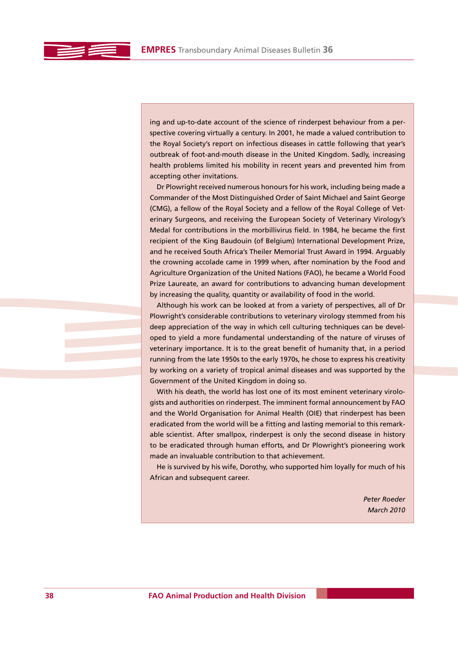ing and up-to-date account of the science of rinderpest behaviour from a perspective covering virtually a century. In 2001, he made a valued contribution to the Royal Society's report on infectious diseases in cattle following that year's outbreak of foot-and-mouth disease in the United Kingdom. Sadly, increasing health problems limited his mobility in recent years and prevented him from accepting other invitations.

Dr Plowright received numerous honours for his work, including being made a Commander of the Most Distinguished Order of Saint Michael and Saint George (CMG), a fellow of the Royal Society and a fellow of the Royal College of Veterinary Surgeons, and receiving the European Society of Veterinary Virology's Medal for contributions in the morbillivirus field. In 1984, he became the first recipient of the King Baudouin (of Belgium) International Development Prize, and he received South Africa's Theiler Memorial Trust Award in 1994. Arguably the crowning accolade came in 1999 when, after nomination by the Food and Agriculture Organization of the United Nations (FAO), he became a World Food Prize Laureate, an award for contributions to advancing human development by increasing the quality, quantity or availability of food in the world.

Although his work can be looked at from a variety of perspectives, all of Dr Plowright's considerable contributions to veterinary virology stemmed from his deep appreciation of the way in which cell culturing techniques can be developed to yield a more fundamental understanding of the nature of viruses of veterinary importance. It is to the great benefit of humanity that, in a period running from the late 1950s to the early 1970s, he chose to express his creativity by working on a variety of tropical animal diseases and was supported by the Government of the United Kingdom in doing so.

With his death, the world has lost one of its most eminent veterinary virologists and authorities on rinderpest. The imminent formal announcement by FAO and the World Organisation for Animal Health (OIE) that rinderpest has been eradicated from the world will be a fitting and lasting memorial to this remarkable scientist. After smallpox, rinderpest is only the second disease in history to be eradicated through human efforts, and Dr Plowright's pioneering work made an invaluable contribution to that achievement.

He is survived by his wife, Dorothy, who supported him loyally for much of his African and subsequent career.

> *Peter Roeder March 2010*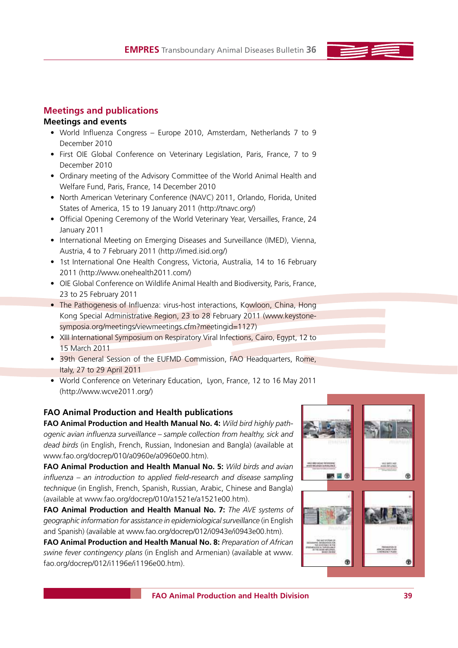# **Meetings and publications**

## **Meetings and events**

- World Influenza Congress Europe 2010, Amsterdam, Netherlands 7 to 9 December 2010
- First OIE Global Conference on Veterinary Legislation, Paris, France, 7 to 9 December 2010
- Ordinary meeting of the Advisory Committee of the World Animal Health and Welfare Fund, Paris, France, 14 December 2010
- North American Veterinary Conference (NAVC) 2011, Orlando, Florida, United States of America, 15 to 19 January 2011 (http://tnavc.org/)
- Official Opening Ceremony of the World Veterinary Year, Versailles, France, 24 January 2011
- International Meeting on Emerging Diseases and Surveillance (IMED), Vienna, Austria, 4 to 7 February 2011 (http://imed.isid.org/)
- 1st International One Health Congress, Victoria, Australia, 14 to 16 February 2011 (http://www.onehealth2011.com/)
- OIE Global Conference on Wildlife Animal Health and Biodiversity, Paris, France, 23 to 25 February 2011
- The Pathogenesis of Influenza: virus-host interactions, Kowloon, China, Hong Kong Special Administrative Region, 23 to 28 February 2011 (www.keystonesymposia.org/meetings/viewmeetings.cfm?meetingid=1127)
- XIII International Symposium on Respiratory Viral Infections, Cairo, Egypt, 12 to 15 March 2011
- 39th General Session of the EUFMD Commission, FAO Headquarters, Rome, Italy, 27 to 29 April 2011
- World Conference on Veterinary Education, Lyon, France, 12 to 16 May 2011 (http://www.wcve2011.org/)

## **FAO Animal Production and Health publications**

**FAO Animal Production and Health Manual No. 4:** *Wild bird highly pathogenic avian influenza surveillance – sample collection from healthy, sick and dead birds* (in English, French, Russian, Indonesian and Bangla) (available at www.fao.org/docrep/010/a0960e/a0960e00.htm).

**FAO Animal Production and Health Manual No. 5:** *Wild birds and avian influenza – an introduction to applied field-research and disease sampling technique* (in English, French, Spanish, Russian, Arabic, Chinese and Bangla) (available at www.fao.org/docrep/010/a1521e/a1521e00.htm).

**FAO Animal Production and Health Manual No. 7:** *The AVE systems of geographic information for assistance in epidemiological surveillance* (in English and Spanish) (available at www.fao.org/docrep/012/i0943e/i0943e00.htm).

**FAO Animal Production and Health Manual No. 8:** *Preparation of African swine fever contingency plans* (in English and Armenian) (available at www. fao.org/docrep/012/i1196e/i1196e00.htm).

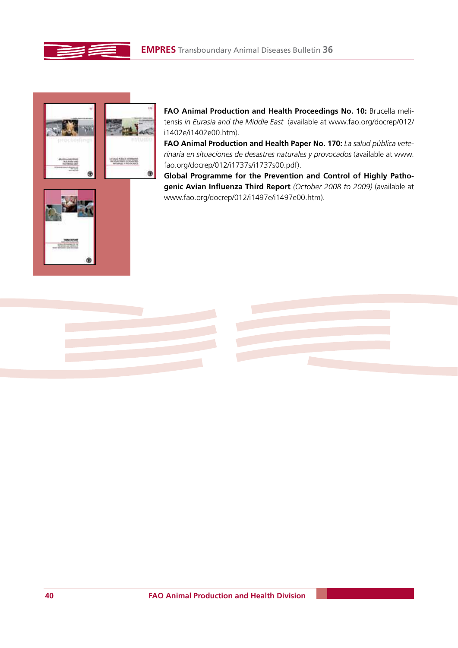



**FAO Animal Production and Health Proceedings No. 10:** Brucella melitensis *in Eurasia and the Middle East* (available at www.fao.org/docrep/012/ i1402e/i1402e00.htm).

FAO Animal Production and Health Paper No. 170: La salud pública vete*rinaria en situaciones de desastres naturales y provocados* (available at www. fao.org/docrep/012/i1737s/i1737s00.pdf).

**Global Programme for the Prevention and Control of Highly Pathogenic Avian Influenza Third Report** *(October 2008 to 2009)* (available at www.fao.org/docrep/012/i1497e/i1497e00.htm).

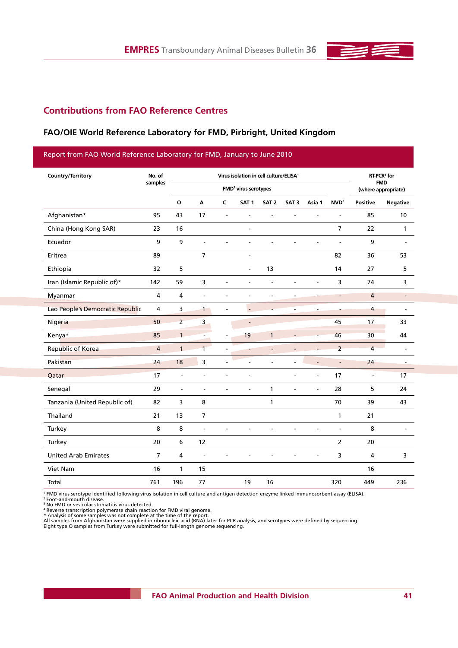

## **Contributions from FAO Reference Centres**

## **FAO/OIE World Reference Laboratory for FMD, Pirbright, United Kingdom**

## Report from FAO World Reference Laboratory for FMD, January to June 2010

| Country/Territory                | No. of         | Virus isolation in cell culture/ELISA <sup>1</sup> |                          |                          |                          |                          |                  | RT-PCR <sup>4</sup> for           |                  |                |                          |
|----------------------------------|----------------|----------------------------------------------------|--------------------------|--------------------------|--------------------------|--------------------------|------------------|-----------------------------------|------------------|----------------|--------------------------|
|                                  | samples        | FMD <sup>2</sup> virus serotypes                   |                          |                          |                          |                          |                  | <b>FMD</b><br>(where appropriate) |                  |                |                          |
|                                  |                | $\mathbf{o}$                                       | A                        | $\mathsf{C}$             | SAT <sub>1</sub>         | SAT <sub>2</sub>         | SAT <sub>3</sub> | Asia 1                            | NVD <sup>3</sup> | Positive       | <b>Negative</b>          |
| Afghanistan*                     | 95             | 43                                                 | 17                       | $\blacksquare$           | ٠                        | ٠                        | $\overline{a}$   | ٠                                 | ÷                | 85             | 10                       |
| China (Hong Kong SAR)            | 23             | 16                                                 |                          |                          | $\overline{\phantom{a}}$ |                          |                  |                                   | $\overline{7}$   | 22             | 1                        |
| Ecuador                          | 9              | 9                                                  | L,                       |                          | L,                       | L,                       |                  |                                   | L,               | 9              |                          |
| Eritrea                          | 89             |                                                    | $\overline{7}$           |                          | $\blacksquare$           |                          |                  |                                   | 82               | 36             | 53                       |
| Ethiopia                         | 32             | 5                                                  |                          |                          | $\overline{\phantom{a}}$ | 13                       |                  |                                   | 14               | 27             | 5                        |
| Iran (Islamic Republic of)*      | 142            | 59                                                 | 3                        |                          | L.                       | L.                       |                  |                                   | 3                | 74             | 3                        |
| Myanmar                          | 4              | 4                                                  | ٠                        |                          |                          |                          | ٠                |                                   |                  | $\overline{4}$ | $\blacksquare$           |
| Lao People's Democratic Republic | 4              | 3                                                  | $\ddot{\phantom{1}}$     | $\overline{\phantom{a}}$ | $\overline{\phantom{a}}$ |                          |                  |                                   |                  | 4              |                          |
| Nigeria                          | 50             | $\overline{2}$                                     | 3                        |                          | $\overline{\phantom{a}}$ |                          |                  |                                   | 45               | 17             | 33                       |
| Kenya*                           | 85             | $\mathbf{1}$                                       | $\overline{\phantom{a}}$ |                          | 19                       | $\mathbf{1}$             |                  |                                   | 46               | 30             | 44                       |
| <b>Republic of Korea</b>         | 4              | $\mathbf{1}$                                       | $\overline{1}$           |                          |                          | $\overline{\phantom{a}}$ |                  |                                   | $\overline{2}$   | 4              |                          |
| Pakistan                         | 24             | 18                                                 | 3                        | $\blacksquare$           | ٠                        | ٠                        | ÷                |                                   | $\overline{a}$   | 24             | $\overline{\phantom{a}}$ |
| Qatar                            | 17             | $\overline{\phantom{a}}$                           | $\overline{\phantom{a}}$ | $\blacksquare$           | $\overline{\phantom{a}}$ |                          | $\overline{a}$   | $\overline{\phantom{a}}$          | 17               | ÷,             | 17                       |
| Senegal                          | 29             | $\blacksquare$                                     | L,                       |                          | L.                       | 1                        | L.               | $\overline{a}$                    | 28               | 5              | 24                       |
| Tanzania (United Republic of)    | 82             | 3                                                  | 8                        |                          |                          | 1                        |                  |                                   | 70               | 39             | 43                       |
| Thailand                         | 21             | 13                                                 | 7                        |                          |                          |                          |                  |                                   | $\mathbf{1}$     | 21             |                          |
| Turkey                           | 8              | 8                                                  | L,                       |                          |                          |                          |                  |                                   | L,               | 8              |                          |
| Turkey                           | 20             | 6                                                  | 12                       |                          |                          |                          |                  |                                   | $\overline{2}$   | 20             |                          |
| <b>United Arab Emirates</b>      | $\overline{7}$ | 4                                                  | L,                       |                          |                          |                          |                  |                                   | 3                | 4              | 3                        |
| Viet Nam                         | 16             | 1                                                  | 15                       |                          |                          |                          |                  |                                   |                  | 16             |                          |
| Total                            | 761            | 196                                                | 77                       |                          | 19                       | 16                       |                  |                                   | 320              | 449            | 236                      |

' FMD virus serotype identified following virus isolation in cell culture and antigen detection enzyme linked immunosorbent assay (ELISA).<br><sup>2</sup> Foot-and-mouth disease.<br><sup>3</sup> Foot-and-mouth disease.<br><sup>4</sup> Reverse transcription p

\* Analysis of some samples was not complete at the time of the report.<br>All samples from Afghanistan were supplied in ribonucleic acid (RNA) later for PCR analysis, and serotypes were defined by sequencing.<br>Eight type O sam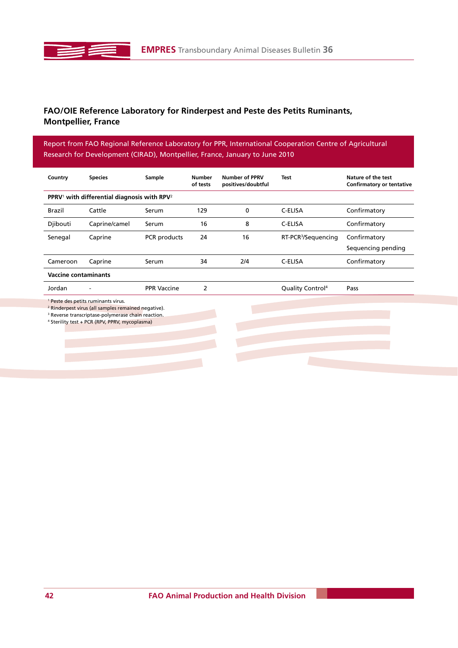# **FAO/OIE Reference Laboratory for Rinderpest and Peste des Petits Ruminants, Montpellier, France**

Report from FAO Regional Reference Laboratory for PPR, International Cooperation Centre of Agricultural Research for Development (CIRAD), Montpellier, France, January to June 2010

| Country                                                                                                                                                                                                                                        | <b>Species</b> | Sample             |     | <b>Number of PPRV</b><br>positives/doubtful | <b>Test</b>                     | Nature of the test<br><b>Confirmatory or tentative</b> |  |  |  |  |  |
|------------------------------------------------------------------------------------------------------------------------------------------------------------------------------------------------------------------------------------------------|----------------|--------------------|-----|---------------------------------------------|---------------------------------|--------------------------------------------------------|--|--|--|--|--|
| PPRV <sup>1</sup> with differential diagnosis with RPV <sup>2</sup>                                                                                                                                                                            |                |                    |     |                                             |                                 |                                                        |  |  |  |  |  |
| <b>Brazil</b>                                                                                                                                                                                                                                  | Cattle         | Serum              | 129 | 0                                           | C-ELISA                         | Confirmatory                                           |  |  |  |  |  |
| Djibouti                                                                                                                                                                                                                                       | Caprine/camel  | Serum              | 16  | 8                                           | C-ELISA                         | Confirmatory                                           |  |  |  |  |  |
| Senegal                                                                                                                                                                                                                                        | Caprine        | PCR products       | 24  | 16                                          | RT-PCR <sup>3</sup> /Sequencing | Confirmatory                                           |  |  |  |  |  |
|                                                                                                                                                                                                                                                |                |                    |     |                                             |                                 | Sequencing pending                                     |  |  |  |  |  |
| Cameroon                                                                                                                                                                                                                                       | Caprine        | Serum              | 34  | 2/4                                         | C-ELISA                         | Confirmatory                                           |  |  |  |  |  |
| <b>Vaccine contaminants</b>                                                                                                                                                                                                                    |                |                    |     |                                             |                                 |                                                        |  |  |  |  |  |
| Jordan                                                                                                                                                                                                                                         |                | <b>PPR Vaccine</b> | 2   |                                             | Quality Control <sup>4</sup>    | Pass                                                   |  |  |  |  |  |
| <sup>1</sup> Peste des petits ruminants virus.<br><sup>2</sup> Rinderpest virus (all samples remained negative).<br><sup>3</sup> Reverse transcriptase-polymerase chain reaction.<br><sup>4</sup> Sterility test + PCR (RPV, PPRV, mycoplasma) |                |                    |     |                                             |                                 |                                                        |  |  |  |  |  |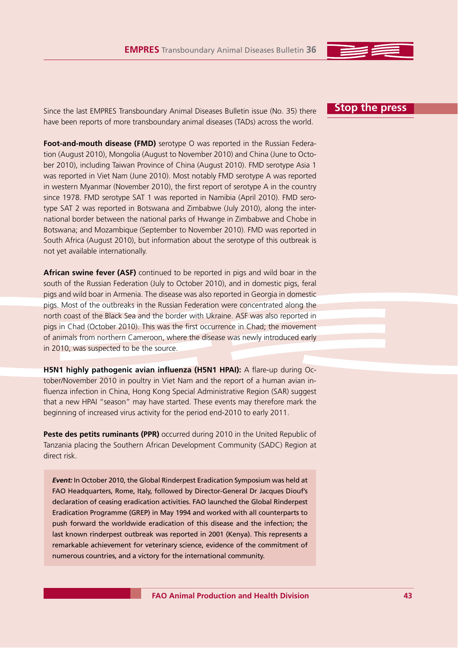Since the last EMPRES Transboundary Animal Diseases Bulletin issue (No. 35) there have been reports of more transboundary animal diseases (TADs) across the world.

**Foot-and-mouth disease (FMD)** serotype O was reported in the Russian Federation (August 2010), Mongolia (August to November 2010) and China (June to October 2010), including Taiwan Province of China (August 2010). FMD serotype Asia 1 was reported in Viet Nam (June 2010). Most notably FMD serotype A was reported in western Myanmar (November 2010), the first report of serotype A in the country since 1978. FMD serotype SAT 1 was reported in Namibia (April 2010). FMD serotype SAT 2 was reported in Botswana and Zimbabwe (July 2010), along the international border between the national parks of Hwange in Zimbabwe and Chobe in Botswana; and Mozambique (September to November 2010). FMD was reported in South Africa (August 2010), but information about the serotype of this outbreak is not yet available internationally.

**African swine fever (ASF)** continued to be reported in pigs and wild boar in the south of the Russian Federation (July to October 2010), and in domestic pigs, feral pigs and wild boar in Armenia. The disease was also reported in Georgia in domestic pigs. Most of the outbreaks in the Russian Federation were concentrated along the north coast of the Black Sea and the border with Ukraine. ASF was also reported in pigs in Chad (October 2010). This was the first occurrence in Chad; the movement of animals from northern Cameroon, where the disease was newly introduced early in 2010, was suspected to be the source.

**H5N1 highly pathogenic avian influenza (H5N1 HPAI):** A flare-up during October/November 2010 in poultry in Viet Nam and the report of a human avian influenza infection in China, Hong Kong Special Administrative Region (SAR) suggest that a new HPAI "season" may have started. These events may therefore mark the beginning of increased virus activity for the period end-2010 to early 2011.

Peste des petits ruminants (PPR) occurred during 2010 in the United Republic of Tanzania placing the Southern African Development Community (SADC) Region at direct risk.

**Event:** In October 2010, the Global Rinderpest Eradication Symposium was held at FAO Headquarters, Rome, Italy, followed by Director-General Dr Jacques Diouf's declaration of ceasing eradication activities. FAO launched the Global Rinderpest Eradication Programme (GREP) in May 1994 and worked with all counterparts to push forward the worldwide eradication of this disease and the infection; the last known rinderpest outbreak was reported in 2001 (Kenya). This represents a remarkable achievement for veterinary science, evidence of the commitment of numerous countries, and a victory for the international community.

## **Stop the press**